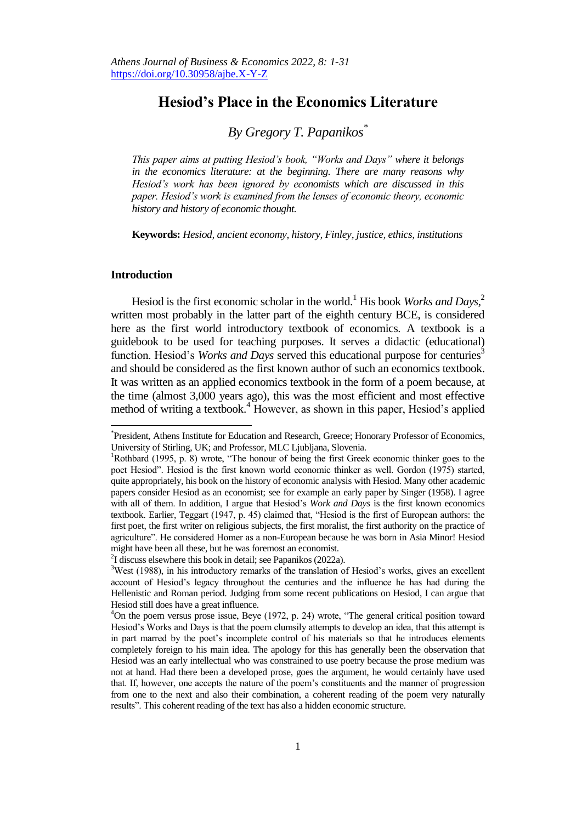# **Hesiod's Place in the Economics Literature**

# *By Gregory T. Papanikos\**

*This paper aims at putting Hesiod"s book, "Works and Days" where it belongs in the economics literature: at the beginning. There are many reasons why Hesiod"s work has been ignored by economists which are discussed in this paper. Hesiod"s work is examined from the lenses of economic theory, economic history and history of economic thought.*

**Keywords:** *Hesiod, ancient economy, history, Finley, justice, ethics, institutions* 

## **Introduction**

l

Hesiod is the first economic scholar in the world.<sup>1</sup> His book *Works and Days*,<sup>2</sup> written most probably in the latter part of the eighth century BCE, is considered here as the first world introductory textbook of economics. A textbook is a guidebook to be used for teaching purposes. It serves a didactic (educational) function. Hesiod's *Works and Days* served this educational purpose for centuries<sup>3</sup> and should be considered as the first known author of such an economics textbook. It was written as an applied economics textbook in the form of a poem because, at the time (almost 3,000 years ago), this was the most efficient and most effective method of writing a textbook.<sup>4</sup> However, as shown in this paper, Hesiod's applied

<sup>\*</sup> President, Athens Institute for Education and Research, Greece; Honorary Professor of Economics, University of Stirling, UK; and Professor, MLC Ljubljana, Slovenia.

 ${}^{1}$ Rothbard (1995, p. 8) wrote, "The honour of being the first Greek economic thinker goes to the poet Hesiod". Hesiod is the first known world economic thinker as well. Gordon (1975) started, quite appropriately, his book on the history of economic analysis with Hesiod. Many other academic papers consider Hesiod as an economist; see for example an early paper by Singer (1958). I agree with all of them. In addition, I argue that Hesiod's *Work and Days* is the first known economics textbook. Earlier, Teggart (1947, p. 45) claimed that, "Hesiod is the first of European authors: the first poet, the first writer on religious subjects, the first moralist, the first authority on the practice of agriculture". He considered Homer as a non-European because he was born in Asia Minor! Hesiod might have been all these, but he was foremost an economist.

<sup>2</sup> I discuss elsewhere this book in detail; see Papanikos (2022a).

 $3West$  (1988), in his introductory remarks of the translation of Hesiod's works, gives an excellent account of Hesiod's legacy throughout the centuries and the influence he has had during the Hellenistic and Roman period. Judging from some recent publications on Hesiod, I can argue that Hesiod still does have a great influence.

 $4$ On the poem versus prose issue, Beye (1972, p. 24) wrote, "The general critical position toward Hesiod's Works and Days is that the poem clumsily attempts to develop an idea, that this attempt is in part marred by the poet's incomplete control of his materials so that he introduces elements completely foreign to his main idea. The apology for this has generally been the observation that Hesiod was an early intellectual who was constrained to use poetry because the prose medium was not at hand. Had there been a developed prose, goes the argument, he would certainly have used that. If, however, one accepts the nature of the poem's constituents and the manner of progression from one to the next and also their combination, a coherent reading of the poem very naturally results". This coherent reading of the text has also a hidden economic structure.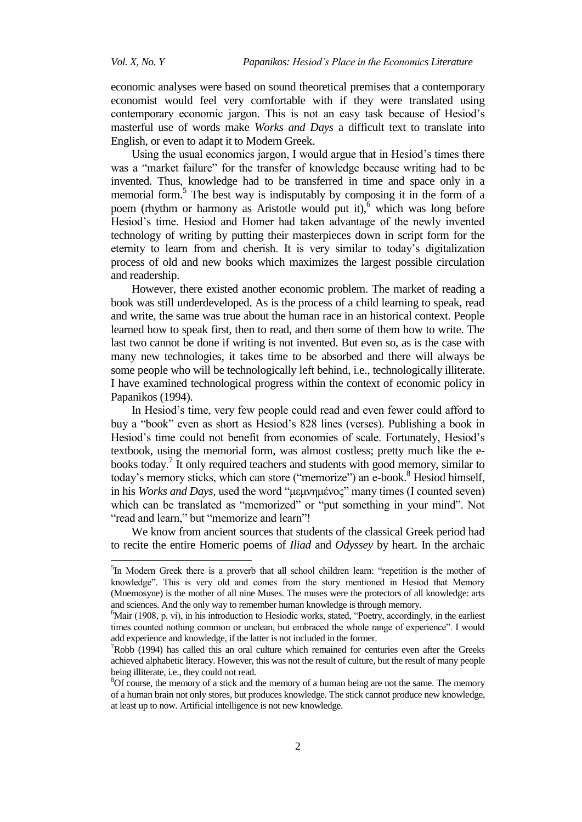economic analyses were based on sound theoretical premises that a contemporary economist would feel very comfortable with if they were translated using contemporary economic jargon. This is not an easy task because of Hesiod's masterful use of words make *Works and Days* a difficult text to translate into English, or even to adapt it to Modern Greek.

Using the usual economics jargon, I would argue that in Hesiod's times there was a "market failure" for the transfer of knowledge because writing had to be invented. Thus, knowledge had to be transferred in time and space only in a memorial form.<sup>5</sup> The best way is indisputably by composing it in the form of a poem (rhythm or harmony as Aristotle would put it), $6$  which was long before Hesiod's time. Hesiod and Homer had taken advantage of the newly invented technology of writing by putting their masterpieces down in script form for the eternity to learn from and cherish. It is very similar to today's digitalization process of old and new books which maximizes the largest possible circulation and readership.

However, there existed another economic problem. The market of reading a book was still underdeveloped. As is the process of a child learning to speak, read and write, the same was true about the human race in an historical context. People learned how to speak first, then to read, and then some of them how to write. The last two cannot be done if writing is not invented. But even so, as is the case with many new technologies, it takes time to be absorbed and there will always be some people who will be technologically left behind, i.e., technologically illiterate. I have examined technological progress within the context of economic policy in Papanikos (1994).

In Hesiod's time, very few people could read and even fewer could afford to buy a "book" even as short as Hesiod's 828 lines (verses). Publishing a book in Hesiod's time could not benefit from economies of scale. Fortunately, Hesiod's textbook, using the memorial form, was almost costless; pretty much like the ebooks today.<sup>7</sup> It only required teachers and students with good memory, similar to today's memory sticks, which can store ("memorize") an e-book.<sup>8</sup> Hesiod himself, in his *Works and Days*, used the word "μεμνημένος" many times (I counted seven) which can be translated as "memorized" or "put something in your mind". Not "read and learn," but "memorize and learn"!

We know from ancient sources that students of the classical Greek period had to recite the entire Homeric poems of *Iliad* and *Odyssey* by heart. In the archaic

<sup>&</sup>lt;sup>5</sup>In Modern Greek there is a proverb that all school children learn: "repetition is the mother of knowledge". This is very old and comes from the story mentioned in Hesiod that Memory (Mnemosyne) is the mother of all nine Muses. The muses were the protectors of all knowledge: arts and sciences. And the only way to remember human knowledge is through memory.

 ${}^6$ Mair (1908, p. vi), in his introduction to Hesiodic works, stated, "Poetry, accordingly, in the earliest times counted nothing common or unclean, but embraced the whole range of experience". I would add experience and knowledge, if the latter is not included in the former.

 $7Robb$  (1994) has called this an oral culture which remained for centuries even after the Greeks achieved alphabetic literacy. However, this was not the result of culture, but the result of many people being illiterate, i.e., they could not read.

 ${}^{8}$ Of course, the memory of a stick and the memory of a human being are not the same. The memory of a human brain not only stores, but produces knowledge. The stick cannot produce new knowledge, at least up to now. Artificial intelligence is not new knowledge.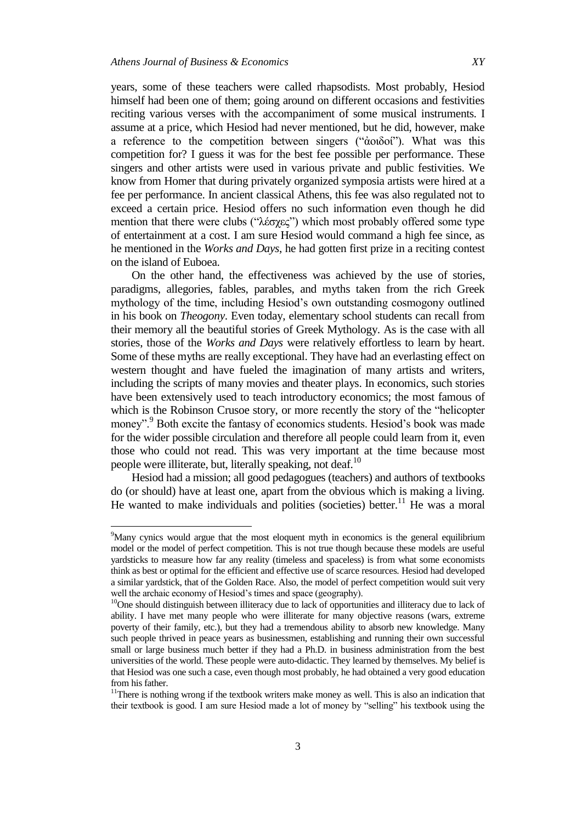years, some of these teachers were called rhapsodists. Most probably, Hesiod himself had been one of them; going around on different occasions and festivities reciting various verses with the accompaniment of some musical instruments. I assume at a price, which Hesiod had never mentioned, but he did, however, make a reference to the competition between singers ("άοιδοί"). What was this competition for? I guess it was for the best fee possible per performance. These singers and other artists were used in various private and public festivities. We know from Homer that during privately organized symposia artists were hired at a fee per performance. In ancient classical Athens, this fee was also regulated not to exceed a certain price. Hesiod offers no such information even though he did mention that there were clubs ("λέσγες") which most probably offered some type of entertainment at a cost. I am sure Hesiod would command a high fee since, as he mentioned in the *Works and Days*, he had gotten first prize in a reciting contest on the island of Euboea.

On the other hand, the effectiveness was achieved by the use of stories, paradigms, allegories, fables, parables, and myths taken from the rich Greek mythology of the time, including Hesiod's own outstanding cosmogony outlined in his book on *Theogony*. Even today, elementary school students can recall from their memory all the beautiful stories of Greek Mythology. As is the case with all stories, those of the *Works and Days* were relatively effortless to learn by heart. Some of these myths are really exceptional. They have had an everlasting effect on western thought and have fueled the imagination of many artists and writers, including the scripts of many movies and theater plays. In economics, such stories have been extensively used to teach introductory economics; the most famous of which is the Robinson Crusoe story, or more recently the story of the "helicopter money".<sup>9</sup> Both excite the fantasy of economics students. Hesiod's book was made for the wider possible circulation and therefore all people could learn from it, even those who could not read. This was very important at the time because most people were illiterate, but, literally speaking, not deaf.<sup>10</sup>

Hesiod had a mission; all good pedagogues (teachers) and authors of textbooks do (or should) have at least one, apart from the obvious which is making a living. He wanted to make individuals and polities (societies) better.<sup>11</sup> He was a moral

<sup>&</sup>lt;sup>9</sup>Many cynics would argue that the most eloquent myth in economics is the general equilibrium model or the model of perfect competition. This is not true though because these models are useful yardsticks to measure how far any reality (timeless and spaceless) is from what some economists think as best or optimal for the efficient and effective use of scarce resources. Hesiod had developed a similar yardstick, that of the Golden Race. Also, the model of perfect competition would suit very well the archaic economy of Hesiod's times and space (geography).

<sup>&</sup>lt;sup>10</sup>One should distinguish between illiteracy due to lack of opportunities and illiteracy due to lack of ability. I have met many people who were illiterate for many objective reasons (wars, extreme poverty of their family, etc.), but they had a tremendous ability to absorb new knowledge. Many such people thrived in peace years as businessmen, establishing and running their own successful small or large business much better if they had a Ph.D. in business administration from the best universities of the world. These people were auto-didactic. They learned by themselves. My belief is that Hesiod was one such a case, even though most probably, he had obtained a very good education from his father.

 $11$ There is nothing wrong if the textbook writers make money as well. This is also an indication that their textbook is good. I am sure Hesiod made a lot of money by "selling" his textbook using the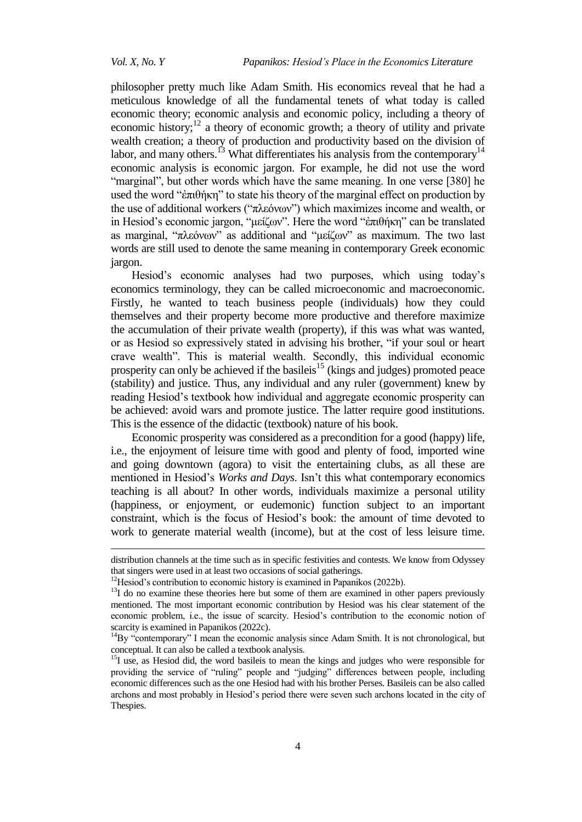<u>.</u>

philosopher pretty much like Adam Smith. His economics reveal that he had a meticulous knowledge of all the fundamental tenets of what today is called economic theory; economic analysis and economic policy, including a theory of economic history;<sup>12</sup> a theory of economic growth; a theory of utility and private wealth creation; a theory of production and productivity based on the division of labor, and many others.<sup>13</sup> What differentiates his analysis from the contemporary<sup>14</sup> economic analysis is economic jargon. For example, he did not use the word "marginal", but other words which have the same meaning. In one verse [380] he used the word " $\hat{\epsilon} \pi \theta \hat{\eta}$  to state his theory of the marginal effect on production by the use of additional workers ("πλεόνων") which maximizes income and wealth, or in Hesiod's economic jargon, "μείζων". Here the word "ἐπιθήκη" can be translated as marginal, "πλεόνων" as additional and "μείζων" as maximum. The two last words are still used to denote the same meaning in contemporary Greek economic jargon.

Hesiod's economic analyses had two purposes, which using today's economics terminology, they can be called microeconomic and macroeconomic. Firstly, he wanted to teach business people (individuals) how they could themselves and their property become more productive and therefore maximize the accumulation of their private wealth (property), if this was what was wanted, or as Hesiod so expressively stated in advising his brother, "if your soul or heart crave wealth". This is material wealth. Secondly, this individual economic prosperity can only be achieved if the basileis<sup>15</sup> (kings and judges) promoted peace (stability) and justice. Thus, any individual and any ruler (government) knew by reading Hesiod's textbook how individual and aggregate economic prosperity can be achieved: avoid wars and promote justice. The latter require good institutions. This is the essence of the didactic (textbook) nature of his book.

Economic prosperity was considered as a precondition for a good (happy) life, i.e., the enjoyment of leisure time with good and plenty of food, imported wine and going downtown (agora) to visit the entertaining clubs, as all these are mentioned in Hesiod's *Works and Days*. Isn't this what contemporary economics teaching is all about? In other words, individuals maximize a personal utility (happiness, or enjoyment, or eudemonic) function subject to an important constraint, which is the focus of Hesiod's book: the amount of time devoted to work to generate material wealth (income), but at the cost of less leisure time.

distribution channels at the time such as in specific festivities and contests. We know from Odyssey that singers were used in at least two occasions of social gatherings.

 $12$ Hesiod's contribution to economic history is examined in Papanikos (2022b).

 $13$ I do no examine these theories here but some of them are examined in other papers previously mentioned. The most important economic contribution by Hesiod was his clear statement of the economic problem, i.e., the issue of scarcity. Hesiod's contribution to the economic notion of scarcity is examined in Papanikos (2022c).

 $14By$  "contemporary" I mean the economic analysis since Adam Smith. It is not chronological, but conceptual. It can also be called a textbook analysis.

<sup>&</sup>lt;sup>15</sup>I use, as Hesiod did, the word basileis to mean the kings and judges who were responsible for providing the service of "ruling" people and "judging" differences between people, including economic differences such as the one Hesiod had with his brother Perses. Basileis can be also called archons and most probably in Hesiod's period there were seven such archons located in the city of Thespies.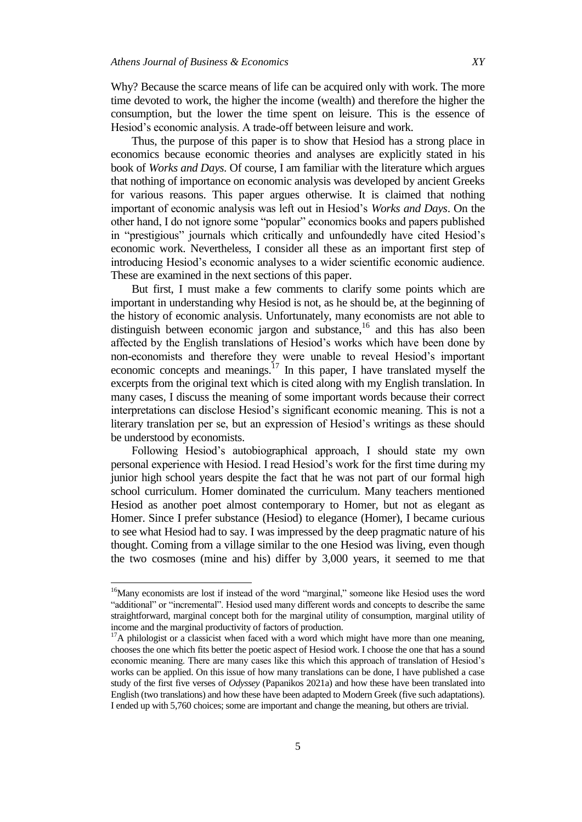Why? Because the scarce means of life can be acquired only with work. The more time devoted to work, the higher the income (wealth) and therefore the higher the consumption, but the lower the time spent on leisure. This is the essence of Hesiod's economic analysis. A trade-off between leisure and work.

Thus, the purpose of this paper is to show that Hesiod has a strong place in economics because economic theories and analyses are explicitly stated in his book of *Works and Days*. Of course, I am familiar with the literature which argues that nothing of importance on economic analysis was developed by ancient Greeks for various reasons. This paper argues otherwise. It is claimed that nothing important of economic analysis was left out in Hesiod's *Works and Days*. On the other hand, I do not ignore some "popular" economics books and papers published in "prestigious" journals which critically and unfoundedly have cited Hesiod's economic work. Nevertheless, I consider all these as an important first step of introducing Hesiod's economic analyses to a wider scientific economic audience. These are examined in the next sections of this paper.

But first, I must make a few comments to clarify some points which are important in understanding why Hesiod is not, as he should be, at the beginning of the history of economic analysis. Unfortunately, many economists are not able to distinguish between economic jargon and substance,<sup>16</sup> and this has also been affected by the English translations of Hesiod's works which have been done by non-economists and therefore they were unable to reveal Hesiod's important economic concepts and meanings.<sup>17</sup> In this paper, I have translated myself the excerpts from the original text which is cited along with my English translation. In many cases, I discuss the meaning of some important words because their correct interpretations can disclose Hesiod's significant economic meaning. This is not a literary translation per se, but an expression of Hesiod's writings as these should be understood by economists.

Following Hesiod's autobiographical approach, I should state my own personal experience with Hesiod. I read Hesiod's work for the first time during my junior high school years despite the fact that he was not part of our formal high school curriculum. Homer dominated the curriculum. Many teachers mentioned Hesiod as another poet almost contemporary to Homer, but not as elegant as Homer. Since I prefer substance (Hesiod) to elegance (Homer), I became curious to see what Hesiod had to say. I was impressed by the deep pragmatic nature of his thought. Coming from a village similar to the one Hesiod was living, even though the two cosmoses (mine and his) differ by 3,000 years, it seemed to me that

l

<sup>&</sup>lt;sup>16</sup>Many economists are lost if instead of the word "marginal," someone like Hesiod uses the word "additional" or "incremental". Hesiod used many different words and concepts to describe the same straightforward, marginal concept both for the marginal utility of consumption, marginal utility of income and the marginal productivity of factors of production.

 $17A$  philologist or a classicist when faced with a word which might have more than one meaning, chooses the one which fits better the poetic aspect of Hesiod work. I choose the one that has a sound economic meaning. There are many cases like this which this approach of translation of Hesiod's works can be applied. On this issue of how many translations can be done, I have published a case study of the first five verses of *Odyssey* (Papanikos 2021a) and how these have been translated into English (two translations) and how these have been adapted to Modern Greek (five such adaptations). I ended up with 5,760 choices; some are important and change the meaning, but others are trivial.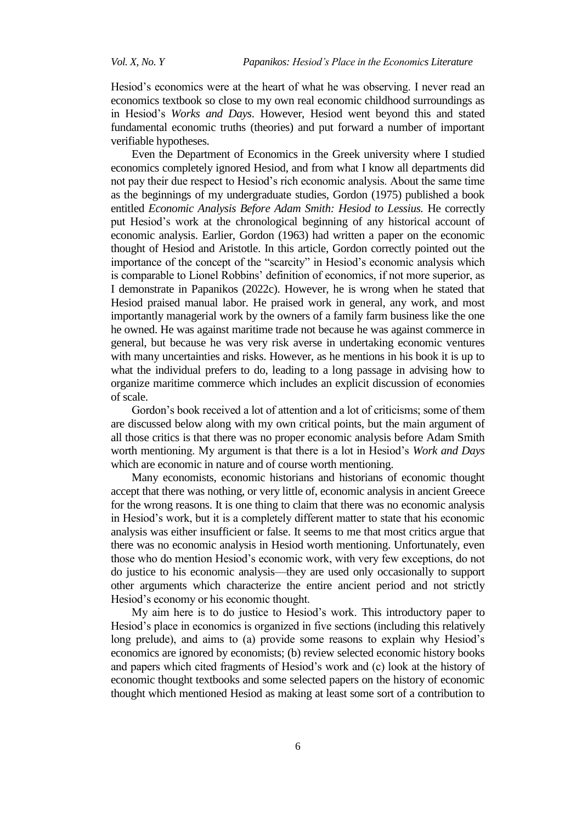Hesiod's economics were at the heart of what he was observing. I never read an economics textbook so close to my own real economic childhood surroundings as in Hesiod's *Works and Days*. However, Hesiod went beyond this and stated fundamental economic truths (theories) and put forward a number of important verifiable hypotheses.

Even the Department of Economics in the Greek university where I studied economics completely ignored Hesiod, and from what I know all departments did not pay their due respect to Hesiod's rich economic analysis. About the same time as the beginnings of my undergraduate studies, Gordon (1975) published a book entitled *Economic Analysis Before Adam Smith: Hesiod to Lessius*. He correctly put Hesiod's work at the chronological beginning of any historical account of economic analysis. Earlier, Gordon (1963) had written a paper on the economic thought of Hesiod and Aristotle. In this article, Gordon correctly pointed out the importance of the concept of the "scarcity" in Hesiod's economic analysis which is comparable to Lionel Robbins' definition of economics, if not more superior, as I demonstrate in Papanikos (2022c). However, he is wrong when he stated that Hesiod praised manual labor. He praised work in general, any work, and most importantly managerial work by the owners of a family farm business like the one he owned. He was against maritime trade not because he was against commerce in general, but because he was very risk averse in undertaking economic ventures with many uncertainties and risks. However, as he mentions in his book it is up to what the individual prefers to do, leading to a long passage in advising how to organize maritime commerce which includes an explicit discussion of economies of scale.

Gordon's book received a lot of attention and a lot of criticisms; some of them are discussed below along with my own critical points, but the main argument of all those critics is that there was no proper economic analysis before Adam Smith worth mentioning. My argument is that there is a lot in Hesiod's *Work and Days* which are economic in nature and of course worth mentioning.

Many economists, economic historians and historians of economic thought accept that there was nothing, or very little of, economic analysis in ancient Greece for the wrong reasons. It is one thing to claim that there was no economic analysis in Hesiod's work, but it is a completely different matter to state that his economic analysis was either insufficient or false. It seems to me that most critics argue that there was no economic analysis in Hesiod worth mentioning. Unfortunately, even those who do mention Hesiod's economic work, with very few exceptions, do not do justice to his economic analysis—they are used only occasionally to support other arguments which characterize the entire ancient period and not strictly Hesiod's economy or his economic thought.

My aim here is to do justice to Hesiod's work. This introductory paper to Hesiod's place in economics is organized in five sections (including this relatively long prelude), and aims to (a) provide some reasons to explain why Hesiod's economics are ignored by economists; (b) review selected economic history books and papers which cited fragments of Hesiod's work and (c) look at the history of economic thought textbooks and some selected papers on the history of economic thought which mentioned Hesiod as making at least some sort of a contribution to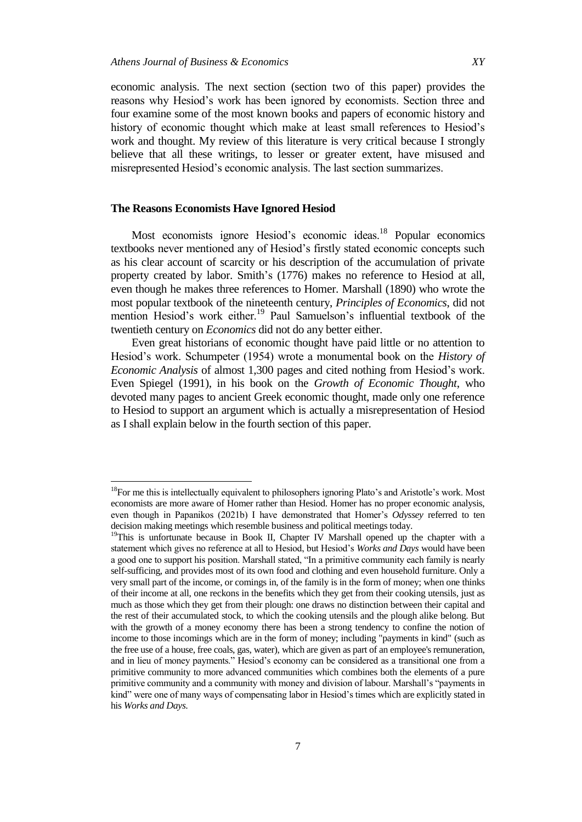economic analysis. The next section (section two of this paper) provides the reasons why Hesiod's work has been ignored by economists. Section three and four examine some of the most known books and papers of economic history and history of economic thought which make at least small references to Hesiod's work and thought. My review of this literature is very critical because I strongly believe that all these writings, to lesser or greater extent, have misused and misrepresented Hesiod's economic analysis. The last section summarizes.

## **The Reasons Economists Have Ignored Hesiod**

l

Most economists ignore Hesiod's economic ideas.<sup>18</sup> Popular economics textbooks never mentioned any of Hesiod's firstly stated economic concepts such as his clear account of scarcity or his description of the accumulation of private property created by labor. Smith's (1776) makes no reference to Hesiod at all, even though he makes three references to Homer. Marshall (1890) who wrote the most popular textbook of the nineteenth century, *Principles of Economics*, did not mention Hesiod's work either.<sup>19</sup> Paul Samuelson's influential textbook of the twentieth century on *Economics* did not do any better either.

Even great historians of economic thought have paid little or no attention to Hesiod's work. Schumpeter (1954) wrote a monumental book on the *History of Economic Analysis* of almost 1,300 pages and cited nothing from Hesiod's work. Even Spiegel (1991), in his book on the *Growth of Economic Thought*, who devoted many pages to ancient Greek economic thought, made only one reference to Hesiod to support an argument which is actually a misrepresentation of Hesiod as I shall explain below in the fourth section of this paper.

<sup>&</sup>lt;sup>18</sup>For me this is intellectually equivalent to philosophers ignoring Plato's and Aristotle's work. Most economists are more aware of Homer rather than Hesiod. Homer has no proper economic analysis, even though in Papanikos (2021b) I have demonstrated that Homer's *Odyssey* referred to ten decision making meetings which resemble business and political meetings today.

<sup>&</sup>lt;sup>19</sup>This is unfortunate because in Book II, Chapter IV Marshall opened up the chapter with a statement which gives no reference at all to Hesiod, but Hesiod's *Works and Days* would have been a good one to support his position. Marshall stated, "In a primitive community each family is nearly self-sufficing, and provides most of its own food and clothing and even household furniture. Only a very small part of the income, or comings in, of the family is in the form of money; when one thinks of their income at all, one reckons in the benefits which they get from their cooking utensils, just as much as those which they get from their plough: one draws no distinction between their capital and the rest of their accumulated stock, to which the cooking utensils and the plough alike belong. But with the growth of a money economy there has been a strong tendency to confine the notion of income to those incomings which are in the form of money; including "payments in kind" (such as the free use of a house, free coals, gas, water), which are given as part of an employee's remuneration, and in lieu of money payments." Hesiod's economy can be considered as a transitional one from a primitive community to more advanced communities which combines both the elements of a pure primitive community and a community with money and division of labour. Marshall's "payments in kind" were one of many ways of compensating labor in Hesiod's times which are explicitly stated in his *Works and Days*.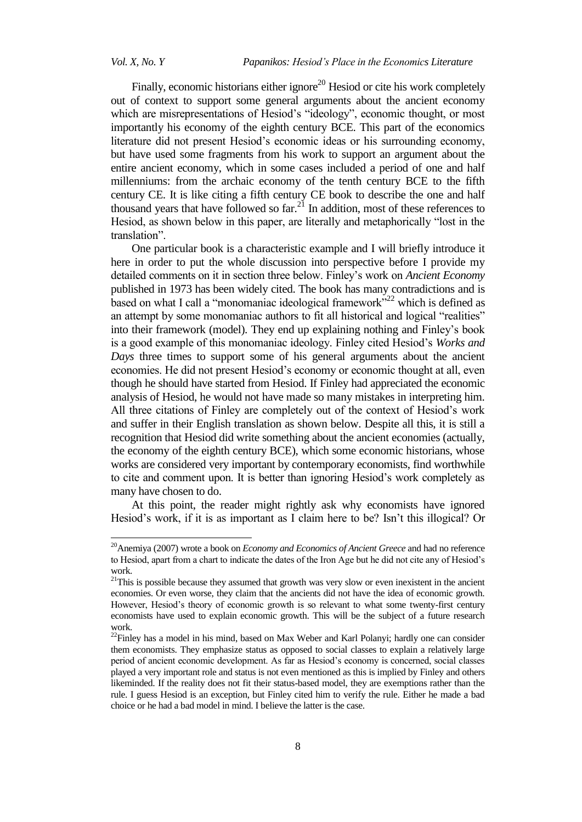$\overline{a}$ 

Finally, economic historians either ignore<sup>20</sup> Hesiod or cite his work completely out of context to support some general arguments about the ancient economy which are misrepresentations of Hesiod's "ideology", economic thought, or most importantly his economy of the eighth century BCE. This part of the economics literature did not present Hesiod's economic ideas or his surrounding economy, but have used some fragments from his work to support an argument about the entire ancient economy, which in some cases included a period of one and half millenniums: from the archaic economy of the tenth century BCE to the fifth century CE. It is like citing a fifth century CE book to describe the one and half thousand years that have followed so  $far<sup>21</sup>$  In addition, most of these references to Hesiod, as shown below in this paper, are literally and metaphorically "lost in the translation".

One particular book is a characteristic example and I will briefly introduce it here in order to put the whole discussion into perspective before I provide my detailed comments on it in section three below. Finley's work on *Ancient Economy* published in 1973 has been widely cited. The book has many contradictions and is based on what I call a "monomaniac ideological framework"<sup>22</sup> which is defined as an attempt by some monomaniac authors to fit all historical and logical "realities" into their framework (model). They end up explaining nothing and Finley's book is a good example of this monomaniac ideology. Finley cited Hesiod's *Works and Days* three times to support some of his general arguments about the ancient economies. He did not present Hesiod's economy or economic thought at all, even though he should have started from Hesiod. If Finley had appreciated the economic analysis of Hesiod, he would not have made so many mistakes in interpreting him. All three citations of Finley are completely out of the context of Hesiod's work and suffer in their English translation as shown below. Despite all this, it is still a recognition that Hesiod did write something about the ancient economies (actually, the economy of the eighth century BCE), which some economic historians, whose works are considered very important by contemporary economists, find worthwhile to cite and comment upon. It is better than ignoring Hesiod's work completely as many have chosen to do.

At this point, the reader might rightly ask why economists have ignored Hesiod's work, if it is as important as I claim here to be? Isn't this illogical? Or

<sup>&</sup>lt;sup>20</sup> Anemiya (2007) wrote a book on *Economy and Economics of Ancient Greece* and had no reference to Hesiod, apart from a chart to indicate the dates of the Iron Age but he did not cite any of Hesiod's work.

<sup>&</sup>lt;sup>21</sup>This is possible because they assumed that growth was very slow or even inexistent in the ancient economies. Or even worse, they claim that the ancients did not have the idea of economic growth. However, Hesiod's theory of economic growth is so relevant to what some twenty-first century economists have used to explain economic growth. This will be the subject of a future research work.

<sup>&</sup>lt;sup>22</sup>Finley has a model in his mind, based on Max Weber and Karl Polanyi; hardly one can consider them economists. They emphasize status as opposed to social classes to explain a relatively large period of ancient economic development. As far as Hesiod's economy is concerned, social classes played a very important role and status is not even mentioned as this is implied by Finley and others likeminded. If the reality does not fit their status-based model, they are exemptions rather than the rule. I guess Hesiod is an exception, but Finley cited him to verify the rule. Either he made a bad choice or he had a bad model in mind. I believe the latter is the case.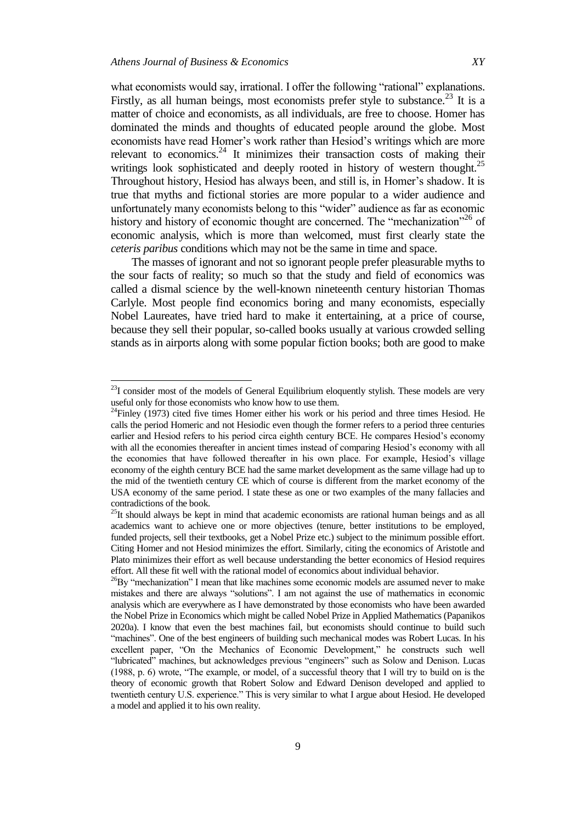what economists would say, irrational. I offer the following "rational" explanations. Firstly, as all human beings, most economists prefer style to substance.<sup>23</sup> It is a matter of choice and economists, as all individuals, are free to choose. Homer has dominated the minds and thoughts of educated people around the globe. Most economists have read Homer's work rather than Hesiod's writings which are more relevant to economics. $24$  It minimizes their transaction costs of making their writings look sophisticated and deeply rooted in history of western thought.<sup>25</sup> Throughout history, Hesiod has always been, and still is, in Homer's shadow. It is true that myths and fictional stories are more popular to a wider audience and unfortunately many economists belong to this "wider" audience as far as economic history and history of economic thought are concerned. The "mechanization"<sup>26</sup> of economic analysis, which is more than welcomed, must first clearly state the *ceteris paribus* conditions which may not be the same in time and space.

The masses of ignorant and not so ignorant people prefer pleasurable myths to the sour facts of reality; so much so that the study and field of economics was called a dismal science by the well-known nineteenth century historian Thomas Carlyle. Most people find economics boring and many economists, especially Nobel Laureates, have tried hard to make it entertaining, at a price of course, because they sell their popular, so-called books usually at various crowded selling stands as in airports along with some popular fiction books; both are good to make

 $23$ I consider most of the models of General Equilibrium eloquently stylish. These models are very useful only for those economists who know how to use them.

 $^{24}$ Finley (1973) cited five times Homer either his work or his period and three times Hesiod. He calls the period Homeric and not Hesiodic even though the former refers to a period three centuries earlier and Hesiod refers to his period circa eighth century BCE. He compares Hesiod's economy with all the economies thereafter in ancient times instead of comparing Hesiod's economy with all the economies that have followed thereafter in his own place. For example, Hesiod's village economy of the eighth century BCE had the same market development as the same village had up to the mid of the twentieth century CE which of course is different from the market economy of the USA economy of the same period. I state these as one or two examples of the many fallacies and contradictions of the book.

 $25$ It should always be kept in mind that academic economists are rational human beings and as all academics want to achieve one or more objectives (tenure, better institutions to be employed, funded projects, sell their textbooks, get a Nobel Prize etc.) subject to the minimum possible effort. Citing Homer and not Hesiod minimizes the effort. Similarly, citing the economics of Aristotle and Plato minimizes their effort as well because understanding the better economics of Hesiod requires effort. All these fit well with the rational model of economics about individual behavior.

 $^{26}$ By "mechanization" I mean that like machines some economic models are assumed never to make mistakes and there are always "solutions". I am not against the use of mathematics in economic analysis which are everywhere as I have demonstrated by those economists who have been awarded the Nobel Prize in Economics which might be called Nobel Prize in Applied Mathematics (Papanikos 2020a). I know that even the best machines fail, but economists should continue to build such ―machines‖. One of the best engineers of building such mechanical modes was Robert Lucas. In his excellent paper, "On the Mechanics of Economic Development," he constructs such well "lubricated" machines, but acknowledges previous "engineers" such as Solow and Denison. Lucas  $(1988, p. 6)$  wrote, "The example, or model, of a successful theory that I will try to build on is the theory of economic growth that Robert Solow and Edward Denison developed and applied to twentieth century U.S. experience." This is very similar to what I argue about Hesiod. He developed a model and applied it to his own reality.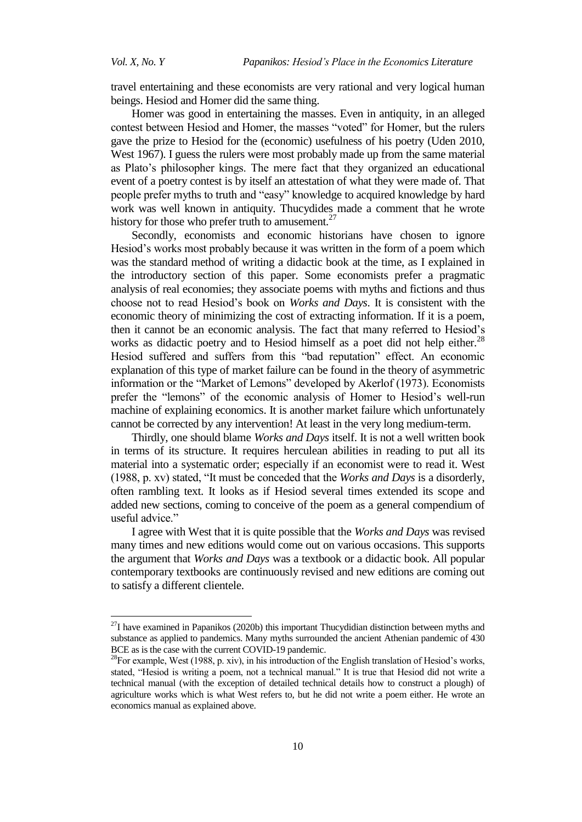travel entertaining and these economists are very rational and very logical human beings. Hesiod and Homer did the same thing.

Homer was good in entertaining the masses. Even in antiquity, in an alleged contest between Hesiod and Homer, the masses "voted" for Homer, but the rulers gave the prize to Hesiod for the (economic) usefulness of his poetry (Uden 2010, West 1967). I guess the rulers were most probably made up from the same material as Plato's philosopher kings. The mere fact that they organized an educational event of a poetry contest is by itself an attestation of what they were made of. That people prefer myths to truth and "easy" knowledge to acquired knowledge by hard work was well known in antiquity. Thucydides made a comment that he wrote history for those who prefer truth to amusement. $27$ 

Secondly, economists and economic historians have chosen to ignore Hesiod's works most probably because it was written in the form of a poem which was the standard method of writing a didactic book at the time, as I explained in the introductory section of this paper. Some economists prefer a pragmatic analysis of real economies; they associate poems with myths and fictions and thus choose not to read Hesiod's book on *Works and Days*. It is consistent with the economic theory of minimizing the cost of extracting information. If it is a poem, then it cannot be an economic analysis. The fact that many referred to Hesiod's works as didactic poetry and to Hesiod himself as a poet did not help either. $^{28}$ Hesiod suffered and suffers from this "bad reputation" effect. An economic explanation of this type of market failure can be found in the theory of asymmetric information or the "Market of Lemons" developed by Akerlof (1973). Economists prefer the "lemons" of the economic analysis of Homer to Hesiod's well-run machine of explaining economics. It is another market failure which unfortunately cannot be corrected by any intervention! At least in the very long medium-term.

Thirdly, one should blame *Works and Days* itself. It is not a well written book in terms of its structure. It requires herculean abilities in reading to put all its material into a systematic order; especially if an economist were to read it. West (1988, p. xv) stated, "It must be conceded that the *Works and Days* is a disorderly, often rambling text. It looks as if Hesiod several times extended its scope and added new sections, coming to conceive of the poem as a general compendium of useful advice."

I agree with West that it is quite possible that the *Works and Days* was revised many times and new editions would come out on various occasions. This supports the argument that *Works and Days* was a textbook or a didactic book. All popular contemporary textbooks are continuously revised and new editions are coming out to satisfy a different clientele.

 $27$ I have examined in Papanikos (2020b) this important Thucydidian distinction between myths and substance as applied to pandemics. Many myths surrounded the ancient Athenian pandemic of 430 BCE as is the case with the current COVID-19 pandemic.

<sup>&</sup>lt;sup>28</sup>For example, West (1988, p. xiv), in his introduction of the English translation of Hesiod's works, stated, "Hesiod is writing a poem, not a technical manual." It is true that Hesiod did not write a technical manual (with the exception of detailed technical details how to construct a plough) of agriculture works which is what West refers to, but he did not write a poem either. He wrote an economics manual as explained above.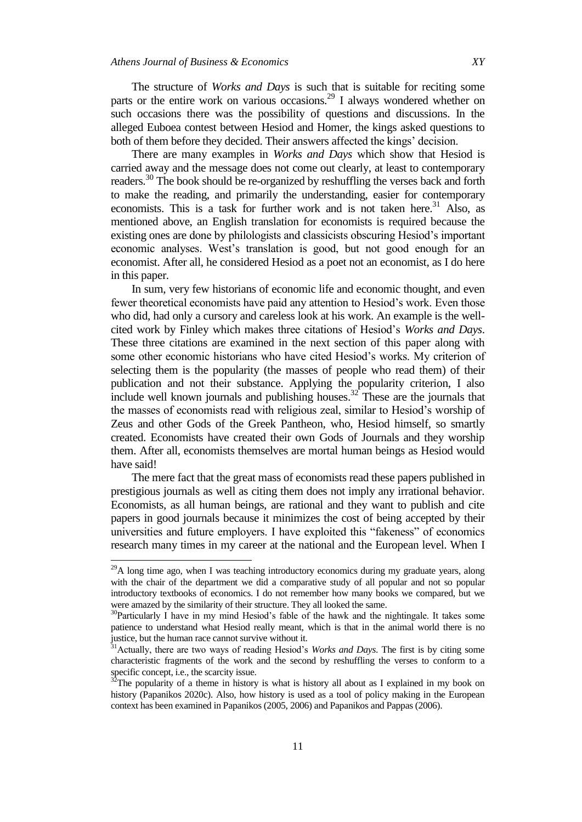The structure of *Works and Days* is such that is suitable for reciting some parts or the entire work on various occasions.<sup>29</sup> I always wondered whether on such occasions there was the possibility of questions and discussions. In the alleged Euboea contest between Hesiod and Homer, the kings asked questions to both of them before they decided. Their answers affected the kings' decision.

There are many examples in *Works and Days* which show that Hesiod is carried away and the message does not come out clearly, at least to contemporary readers.<sup>30</sup> The book should be re-organized by reshuffling the verses back and forth to make the reading, and primarily the understanding, easier for contemporary economists. This is a task for further work and is not taken here.<sup>31</sup> Also, as mentioned above, an English translation for economists is required because the existing ones are done by philologists and classicists obscuring Hesiod's important economic analyses. West's translation is good, but not good enough for an economist. After all, he considered Hesiod as a poet not an economist, as I do here in this paper.

In sum, very few historians of economic life and economic thought, and even fewer theoretical economists have paid any attention to Hesiod's work. Even those who did, had only a cursory and careless look at his work. An example is the wellcited work by Finley which makes three citations of Hesiod's *Works and Days*. These three citations are examined in the next section of this paper along with some other economic historians who have cited Hesiod's works. My criterion of selecting them is the popularity (the masses of people who read them) of their publication and not their substance. Applying the popularity criterion, I also include well known journals and publishing houses.<sup>32</sup> These are the journals that the masses of economists read with religious zeal, similar to Hesiod's worship of Zeus and other Gods of the Greek Pantheon, who, Hesiod himself, so smartly created. Economists have created their own Gods of Journals and they worship them. After all, economists themselves are mortal human beings as Hesiod would have said!

The mere fact that the great mass of economists read these papers published in prestigious journals as well as citing them does not imply any irrational behavior. Economists, as all human beings, are rational and they want to publish and cite papers in good journals because it minimizes the cost of being accepted by their universities and future employers. I have exploited this "fakeness" of economics research many times in my career at the national and the European level. When I

 $29A$  long time ago, when I was teaching introductory economics during my graduate years, along with the chair of the department we did a comparative study of all popular and not so popular introductory textbooks of economics. I do not remember how many books we compared, but we were amazed by the similarity of their structure. They all looked the same.

<sup>&</sup>lt;sup>30</sup>Particularly I have in my mind Hesiod's fable of the hawk and the nightingale. It takes some patience to understand what Hesiod really meant, which is that in the animal world there is no justice, but the human race cannot survive without it.

<sup>31</sup>Actually, there are two ways of reading Hesiod's *Works and Days*. The first is by citing some characteristic fragments of the work and the second by reshuffling the verses to conform to a specific concept, i.e., the scarcity issue.

 $3^{3}$ The popularity of a theme in history is what is history all about as I explained in my book on history (Papanikos 2020c). Also, how history is used as a tool of policy making in the European context has been examined in Papanikos (2005, 2006) and Papanikos and Pappas (2006).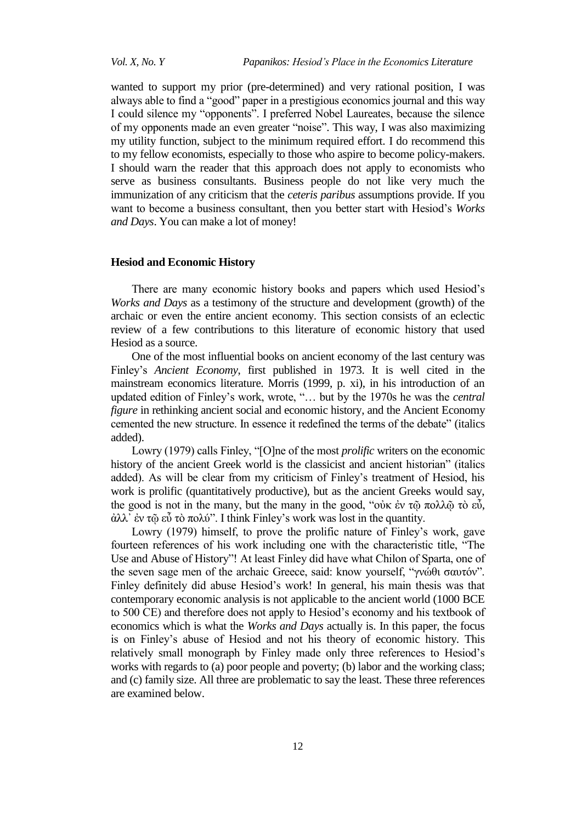*Vol. X, No. Y Papanikos: Hesiod"s Place in the Economics Literature*

wanted to support my prior (pre-determined) and very rational position, I was always able to find a "good" paper in a prestigious economics journal and this way I could silence my "opponents". I preferred Nobel Laureates, because the silence of my opponents made an even greater "noise". This way, I was also maximizing my utility function, subject to the minimum required effort. I do recommend this to my fellow economists, especially to those who aspire to become policy-makers. I should warn the reader that this approach does not apply to economists who serve as business consultants. Business people do not like very much the immunization of any criticism that the *ceteris paribus* assumptions provide. If you want to become a business consultant, then you better start with Hesiod's *Works and Days*. You can make a lot of money!

#### **Hesiod and Economic History**

There are many economic history books and papers which used Hesiod's *Works and Days* as a testimony of the structure and development (growth) of the archaic or even the entire ancient economy. This section consists of an eclectic review of a few contributions to this literature of economic history that used Hesiod as a source.

One of the most influential books on ancient economy of the last century was Finley's *Ancient Economy*, first published in 1973. It is well cited in the mainstream economics literature. Morris (1999, p. xi), in his introduction of an updated edition of Finley's work, wrote, "... but by the 1970s he was the *central figure* in rethinking ancient social and economic history, and the Ancient Economy cemented the new structure. In essence it redefined the terms of the debate" (italics added).

Lowry (1979) calls Finley, "[O]ne of the most *prolific* writers on the economic history of the ancient Greek world is the classicist and ancient historian" (italics added). As will be clear from my criticism of Finley's treatment of Hesiod, his work is prolific (quantitatively productive), but as the ancient Greeks would say, the good is not in the many, but the many in the good, "ούκ ἐν τῷ πολλῷ τὸ εὖ, άλλ' έν τῷ εὖ τὸ πολύ". I think Finley's work was lost in the quantity.

Lowry (1979) himself, to prove the prolific nature of Finley's work, gave fourteen references of his work including one with the characteristic title, "The Use and Abuse of History"! At least Finley did have what Chilon of Sparta, one of the seven sage men of the archaic Greece, said: know yourself, "γνώθι σαυτόν". Finley definitely did abuse Hesiod's work! In general, his main thesis was that contemporary economic analysis is not applicable to the ancient world (1000 BCE to 500 CE) and therefore does not apply to Hesiod's economy and his textbook of economics which is what the *Works and Days* actually is. In this paper, the focus is on Finley's abuse of Hesiod and not his theory of economic history. This relatively small monograph by Finley made only three references to Hesiod's works with regards to (a) poor people and poverty; (b) labor and the working class; and (c) family size. All three are problematic to say the least. These three references are examined below.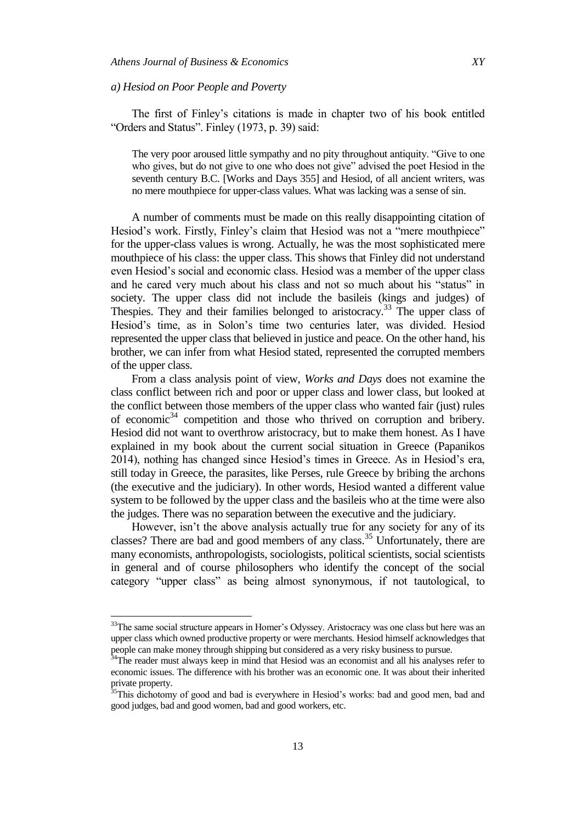#### *a) Hesiod on Poor People and Poverty*

The first of Finley's citations is made in chapter two of his book entitled ―Orders and Status‖. Finley (1973, p. 39) said:

The very poor aroused little sympathy and no pity throughout antiquity. "Give to one who gives, but do not give to one who does not give" advised the poet Hesiod in the seventh century B.C. [Works and Days 355] and Hesiod, of all ancient writers, was no mere mouthpiece for upper-class values. What was lacking was a sense of sin.

A number of comments must be made on this really disappointing citation of Hesiod's work. Firstly, Finley's claim that Hesiod was not a "mere mouthpiece" for the upper-class values is wrong. Actually, he was the most sophisticated mere mouthpiece of his class: the upper class. This shows that Finley did not understand even Hesiod's social and economic class. Hesiod was a member of the upper class and he cared very much about his class and not so much about his "status" in society. The upper class did not include the basileis (kings and judges) of Thespies. They and their families belonged to aristocracy.<sup>33</sup> The upper class of Hesiod's time, as in Solon's time two centuries later, was divided. Hesiod represented the upper class that believed in justice and peace. On the other hand, his brother, we can infer from what Hesiod stated, represented the corrupted members of the upper class.

From a class analysis point of view, *Works and Days* does not examine the class conflict between rich and poor or upper class and lower class, but looked at the conflict between those members of the upper class who wanted fair (just) rules of economic $34$  competition and those who thrived on corruption and bribery. Hesiod did not want to overthrow aristocracy, but to make them honest. As I have explained in my book about the current social situation in Greece (Papanikos 2014), nothing has changed since Hesiod's times in Greece. As in Hesiod's era, still today in Greece, the parasites, like Perses, rule Greece by bribing the archons (the executive and the judiciary). In other words, Hesiod wanted a different value system to be followed by the upper class and the basileis who at the time were also the judges. There was no separation between the executive and the judiciary.

However, isn't the above analysis actually true for any society for any of its classes? There are bad and good members of any class.<sup>35</sup> Unfortunately, there are many economists, anthropologists, sociologists, political scientists, social scientists in general and of course philosophers who identify the concept of the social category "upper class" as being almost synonymous, if not tautological, to

l

<sup>&</sup>lt;sup>33</sup>The same social structure appears in Homer's Odyssey. Aristocracy was one class but here was an upper class which owned productive property or were merchants. Hesiod himself acknowledges that people can make money through shipping but considered as a very risky business to pursue.

 $34$ The reader must always keep in mind that Hesiod was an economist and all his analyses refer to economic issues. The difference with his brother was an economic one. It was about their inherited private property.

<sup>&</sup>lt;sup>35</sup>This dichotomy of good and bad is everywhere in Hesiod's works: bad and good men, bad and good judges, bad and good women, bad and good workers, etc.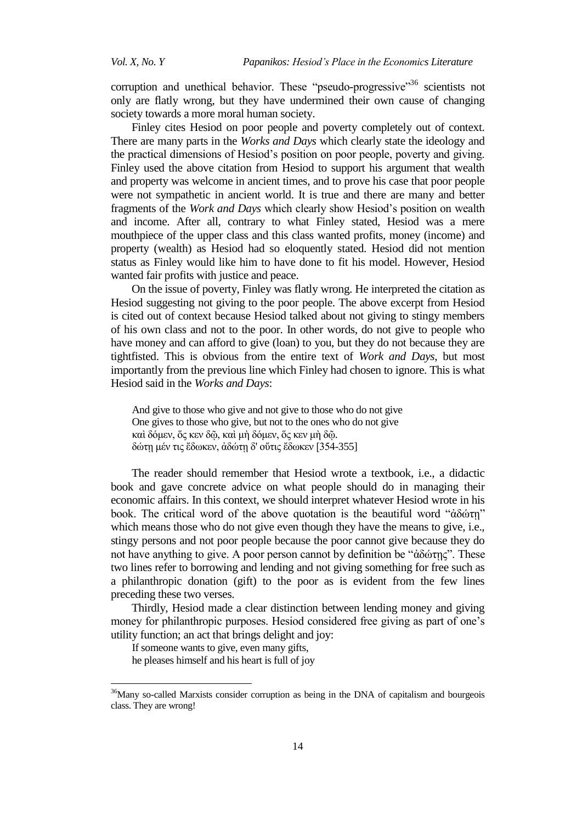corruption and unethical behavior. These "pseudo-progressive"<sup>36</sup> scientists not only are flatly wrong, but they have undermined their own cause of changing society towards a more moral human society.

Finley cites Hesiod on poor people and poverty completely out of context. There are many parts in the *Works and Days* which clearly state the ideology and the practical dimensions of Hesiod's position on poor people, poverty and giving. Finley used the above citation from Hesiod to support his argument that wealth and property was welcome in ancient times, and to prove his case that poor people were not sympathetic in ancient world. It is true and there are many and better fragments of the *Work and Days* which clearly show Hesiod's position on wealth and income. After all, contrary to what Finley stated, Hesiod was a mere mouthpiece of the upper class and this class wanted profits, money (income) and property (wealth) as Hesiod had so eloquently stated. Hesiod did not mention status as Finley would like him to have done to fit his model. However, Hesiod wanted fair profits with justice and peace.

On the issue of poverty, Finley was flatly wrong. He interpreted the citation as Hesiod suggesting not giving to the poor people. The above excerpt from Hesiod is cited out of context because Hesiod talked about not giving to stingy members of his own class and not to the poor. In other words, do not give to people who have money and can afford to give (loan) to you, but they do not because they are tightfisted. This is obvious from the entire text of *Work and Days*, but most importantly from the previous line which Finley had chosen to ignore. This is what Hesiod said in the *Works and Days*:

And give to those who give and not give to those who do not give One gives to those who give, but not to the ones who do not give καὶ δόμεν, ὅς κεν δῶ, καὶ μὴ δόμεν, ὅς κεν μὴ δῶ. δώτη μέν τις ἔδωκεν, ἀδώτη δ' οὔτις ἔδωκεν [354-355]

The reader should remember that Hesiod wrote a textbook, i.e., a didactic book and gave concrete advice on what people should do in managing their economic affairs. In this context, we should interpret whatever Hesiod wrote in his book. The critical word of the above quotation is the beautiful word "άδώτη" which means those who do not give even though they have the means to give, i.e., stingy persons and not poor people because the poor cannot give because they do not have anything to give. A poor person cannot by definition be "άδώτης". These two lines refer to borrowing and lending and not giving something for free such as a philanthropic donation (gift) to the poor as is evident from the few lines preceding these two verses.

Thirdly, Hesiod made a clear distinction between lending money and giving money for philanthropic purposes. Hesiod considered free giving as part of one's utility function; an act that brings delight and joy:

If someone wants to give, even many gifts,

 $\overline{a}$ 

he pleases himself and his heart is full of joy

<sup>&</sup>lt;sup>36</sup>Many so-called Marxists consider corruption as being in the DNA of capitalism and bourgeois class. They are wrong!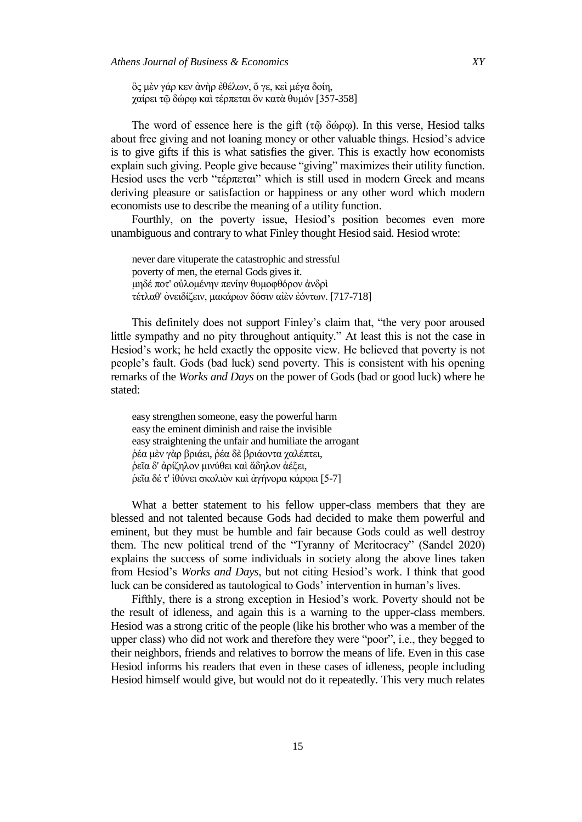ὃς μὲν γάρ κεν ἀνὴρ ἐθέλων, ὅ γε, κεἰ μέγα δοίη, χαίρει τῷ δώρῳ καὶ τέρπεται ὃν κατὰ θυμόν [357-358]

The word of essence here is the gift (τῶ δώρω). In this verse, Hesiod talks about free giving and not loaning money or other valuable things. Hesiod's advice is to give gifts if this is what satisfies the giver. This is exactly how economists explain such giving. People give because "giving" maximizes their utility function. Hesiod uses the verb "τέρπεται" which is still used in modern Greek and means deriving pleasure or satisfaction or happiness or any other word which modern economists use to describe the meaning of a utility function.

Fourthly, on the poverty issue, Hesiod's position becomes even more unambiguous and contrary to what Finley thought Hesiod said. Hesiod wrote:

never dare vituperate the catastrophic and stressful poverty of men, the eternal Gods gives it. μηδέ ποτ' οὐλομένην πενίην θυμοφθόρον ἀνδρὶ τέτλαθ' όνειδίζειν, μακάρων δόσιν αίεν έόντων. [717-718]

This definitely does not support Finley's claim that, "the very poor aroused little sympathy and no pity throughout antiquity." At least this is not the case in Hesiod's work; he held exactly the opposite view. He believed that poverty is not people's fault. Gods (bad luck) send poverty. This is consistent with his opening remarks of the *Works and Days* on the power of Gods (bad or good luck) where he stated:

easy strengthen someone, easy the powerful harm easy the eminent diminish and raise the invisible easy straightening the unfair and humiliate the arrogant ρέα μεν γὰρ βριάει, ρέα δε βριάοντα χαλέπτει, δεῖα δ' ἀρίζηλον μινύθει καὶ ἄδηλον ἀέξει. ρεΐα δέ τ' ιθύνει σκολιον και άγήνορα κάρφει [5-7]

What a better statement to his fellow upper-class members that they are blessed and not talented because Gods had decided to make them powerful and eminent, but they must be humble and fair because Gods could as well destroy them. The new political trend of the "Tyranny of Meritocracy" (Sandel 2020) explains the success of some individuals in society along the above lines taken from Hesiod's *Works and Days*, but not citing Hesiod's work. I think that good luck can be considered as tautological to Gods' intervention in human's lives.

Fifthly, there is a strong exception in Hesiod's work. Poverty should not be the result of idleness, and again this is a warning to the upper-class members. Hesiod was a strong critic of the people (like his brother who was a member of the upper class) who did not work and therefore they were "poor", i.e., they begged to their neighbors, friends and relatives to borrow the means of life. Even in this case Hesiod informs his readers that even in these cases of idleness, people including Hesiod himself would give, but would not do it repeatedly. This very much relates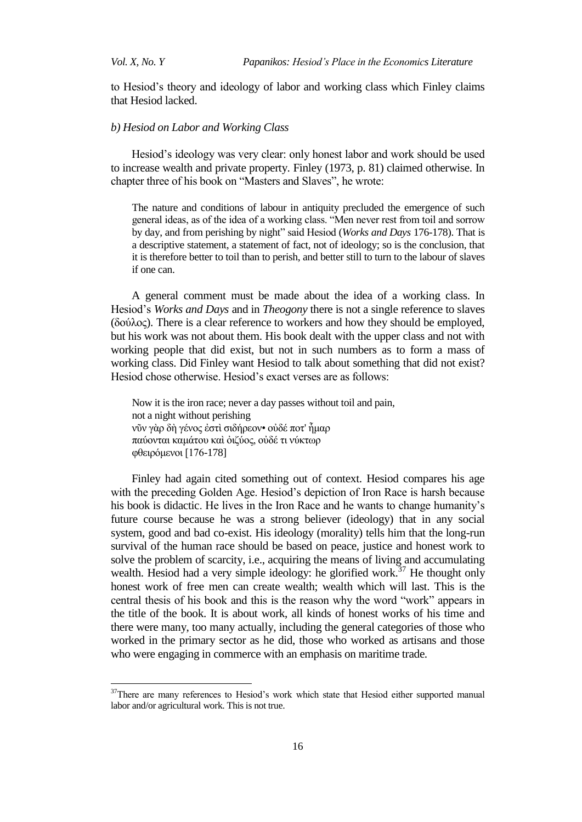$\overline{a}$ 

to Hesiod's theory and ideology of labor and working class which Finley claims that Hesiod lacked.

## *b) Hesiod on Labor and Working Class*

Hesiod's ideology was very clear: only honest labor and work should be used to increase wealth and private property. Finley (1973, p. 81) claimed otherwise. In chapter three of his book on "Masters and Slaves", he wrote:

The nature and conditions of labour in antiquity precluded the emergence of such general ideas, as of the idea of a working class. "Men never rest from toil and sorrow by day, and from perishing by night" said Hesiod (*Works and Days* 176-178). That is a descriptive statement, a statement of fact, not of ideology; so is the conclusion, that it is therefore better to toil than to perish, and better still to turn to the labour of slaves if one can.

A general comment must be made about the idea of a working class. In Hesiod's *Works and Days* and in *Theogony* there is not a single reference to slaves (δούλος). There is a clear reference to workers and how they should be employed, but his work was not about them. His book dealt with the upper class and not with working people that did exist, but not in such numbers as to form a mass of working class. Did Finley want Hesiod to talk about something that did not exist? Hesiod chose otherwise. Hesiod's exact verses are as follows:

Now it is the iron race; never a day passes without toil and pain, not a night without perishing νῦν γὰρ δὴ γένος ἐστὶ σιδήρεον• οὐδέ ποτ' ἦμαρ παύονται καμάτου και οιζύος, ουδέ τι νύκτωρ φθειρόμενοι [176-178]

Finley had again cited something out of context. Hesiod compares his age with the preceding Golden Age. Hesiod's depiction of Iron Race is harsh because his book is didactic. He lives in the Iron Race and he wants to change humanity's future course because he was a strong believer (ideology) that in any social system, good and bad co-exist. His ideology (morality) tells him that the long-run survival of the human race should be based on peace, justice and honest work to solve the problem of scarcity, i.e., acquiring the means of living and accumulating wealth. Hesiod had a very simple ideology: he glorified work.<sup>37</sup> He thought only honest work of free men can create wealth; wealth which will last. This is the central thesis of his book and this is the reason why the word "work" appears in the title of the book. It is about work, all kinds of honest works of his time and there were many, too many actually, including the general categories of those who worked in the primary sector as he did, those who worked as artisans and those who were engaging in commerce with an emphasis on maritime trade.

<sup>&</sup>lt;sup>37</sup>There are many references to Hesiod's work which state that Hesiod either supported manual labor and/or agricultural work. This is not true.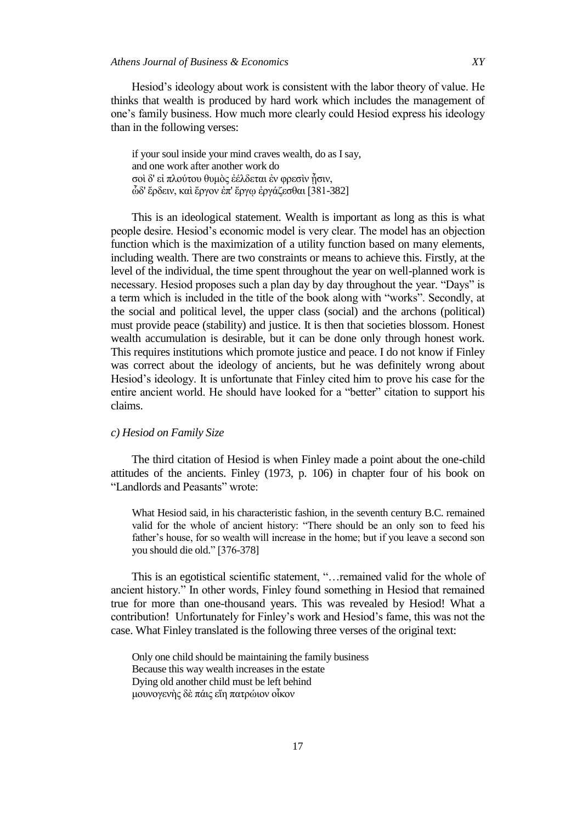Hesiod's ideology about work is consistent with the labor theory of value. He thinks that wealth is produced by hard work which includes the management of one's family business. How much more clearly could Hesiod express his ideology than in the following verses:

if your soul inside your mind craves wealth, do as I say, and one work after another work do σοι δ' εί πλούτου θυμος έέλδεται έν φρεσιν ήσιν, δδ' ἔρδειν, καὶ ἔργον ἐπ' ἔργῳ ἐργάζεσθαι [381-382]

This is an ideological statement. Wealth is important as long as this is what people desire. Hesiod's economic model is very clear. The model has an objection function which is the maximization of a utility function based on many elements, including wealth. There are two constraints or means to achieve this. Firstly, at the level of the individual, the time spent throughout the year on well-planned work is necessary. Hesiod proposes such a plan day by day throughout the year. "Days" is a term which is included in the title of the book along with "works". Secondly, at the social and political level, the upper class (social) and the archons (political) must provide peace (stability) and justice. It is then that societies blossom. Honest wealth accumulation is desirable, but it can be done only through honest work. This requires institutions which promote justice and peace. I do not know if Finley was correct about the ideology of ancients, but he was definitely wrong about Hesiod's ideology. It is unfortunate that Finley cited him to prove his case for the entire ancient world. He should have looked for a "better" citation to support his claims.

# *c) Hesiod on Family Size*

The third citation of Hesiod is when Finley made a point about the one-child attitudes of the ancients. Finley (1973, p. 106) in chapter four of his book on "Landlords and Peasants" wrote:

What Hesiod said, in his characteristic fashion, in the seventh century B.C. remained valid for the whole of ancient history: "There should be an only son to feed his father's house, for so wealth will increase in the home; but if you leave a second son you should die old." [376-378]

This is an egotistical scientific statement, "... remained valid for the whole of ancient history." In other words, Finley found something in Hesiod that remained true for more than one-thousand years. This was revealed by Hesiod! What a contribution! Unfortunately for Finley's work and Hesiod's fame, this was not the case. What Finley translated is the following three verses of the original text:

Only one child should be maintaining the family business Because this way wealth increases in the estate Dying old another child must be left behind μουνογενής δε πάις εἴη πατρώιον οἶκον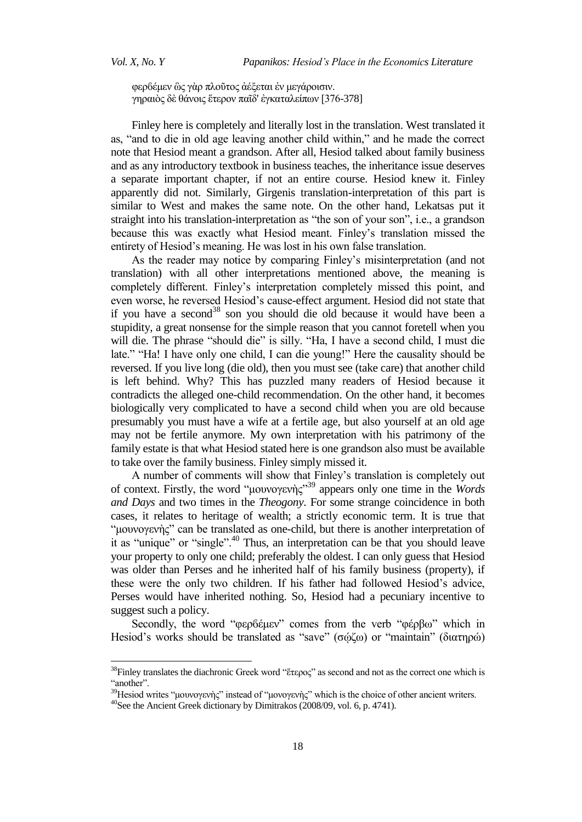*Vol. X, No. Y Papanikos: Hesiod"s Place in the Economics Literature*

φερδέμεν ὣς γὰρ πλοῦτος ἀέξεται ἐν μεγάροισιν. γηραιός δε θάνοις ἕτερον παΐδ' έγκαταλείπων [376-378]

Finley here is completely and literally lost in the translation. West translated it as, "and to die in old age leaving another child within," and he made the correct note that Hesiod meant a grandson. After all, Hesiod talked about family business and as any introductory textbook in business teaches, the inheritance issue deserves a separate important chapter, if not an entire course. Hesiod knew it. Finley apparently did not. Similarly, Girgenis translation-interpretation of this part is similar to West and makes the same note. On the other hand, Lekatsas put it straight into his translation-interpretation as "the son of your son", i.e., a grandson because this was exactly what Hesiod meant. Finley's translation missed the entirety of Hesiod's meaning. He was lost in his own false translation.

As the reader may notice by comparing Finley's misinterpretation (and not translation) with all other interpretations mentioned above, the meaning is completely different. Finley's interpretation completely missed this point, and even worse, he reversed Hesiod's cause-effect argument. Hesiod did not state that if you have a second<sup>38</sup> son you should die old because it would have been a stupidity, a great nonsense for the simple reason that you cannot foretell when you will die. The phrase "should die" is silly. "Ha, I have a second child, I must die late." "Ha! I have only one child, I can die young!" Here the causality should be reversed. If you live long (die old), then you must see (take care) that another child is left behind. Why? This has puzzled many readers of Hesiod because it contradicts the alleged one-child recommendation. On the other hand, it becomes biologically very complicated to have a second child when you are old because presumably you must have a wife at a fertile age, but also yourself at an old age may not be fertile anymore. My own interpretation with his patrimony of the family estate is that what Hesiod stated here is one grandson also must be available to take over the family business. Finley simply missed it.

A number of comments will show that Finley's translation is completely out of context. Firstly, the word "μουνογενής"<sup>39</sup> appears only one time in the *Words and Days* and two times in the *Theogony*. For some strange coincidence in both cases, it relates to heritage of wealth; a strictly economic term. It is true that "μουνογενὴς" can be translated as one-child, but there is another interpretation of it as "unique" or "single".<sup>40</sup> Thus, an interpretation can be that you should leave your property to only one child; preferably the oldest. I can only guess that Hesiod was older than Perses and he inherited half of his family business (property), if these were the only two children. If his father had followed Hesiod's advice, Perses would have inherited nothing. So, Hesiod had a pecuniary incentive to suggest such a policy.

Secondly, the word "φερδέμεν" comes from the verb "φέρβω" which in Hesiod's works should be translated as "save" (σώζω) or "maintain" (διατηρώ)

<sup>&</sup>lt;sup>38</sup>Finley translates the diachronic Greek word "ἕτερος" as second and not as the correct one which is "another".

<sup>&</sup>lt;sup>39</sup>Hesiod writes "μουνογενὴς" instead of "μονογενὴς" which is the choice of other ancient writers.

<sup>&</sup>lt;sup>40</sup>See the Ancient Greek dictionary by Dimitrakos (2008/09, vol. 6, p. 4741).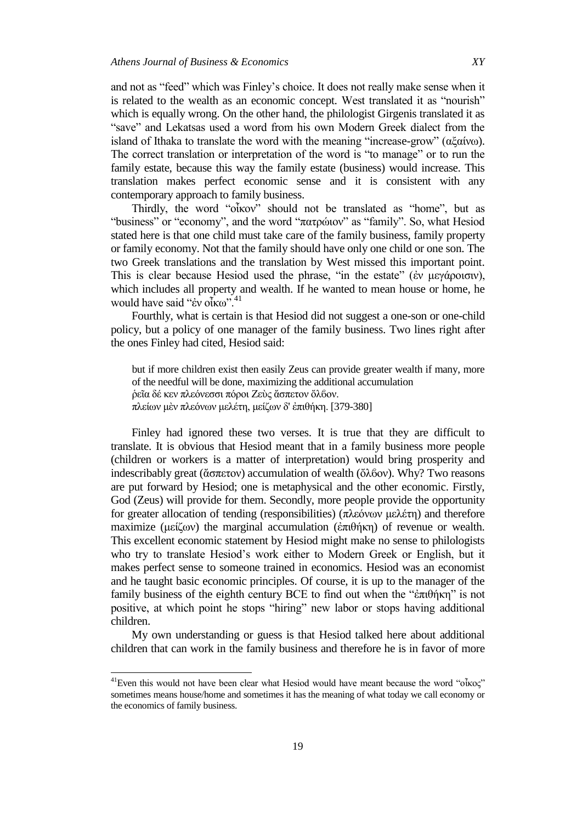and not as "feed" which was Finley's choice. It does not really make sense when it is related to the wealth as an economic concept. West translated it as "nourish" which is equally wrong. On the other hand, the philologist Girgenis translated it as ―save‖ and Lekatsas used a word from his own Modern Greek dialect from the island of Ithaka to translate the word with the meaning "increase-grow" ( $\alpha \xi \alpha \omega$ ). The correct translation or interpretation of the word is "to manage" or to run the

family estate, because this way the family estate (business) would increase. This translation makes perfect economic sense and it is consistent with any contemporary approach to family business.

Thirdly, the word "οἶκον" should not be translated as "home", but as *"business"* or "economy", and the word "πατρώιον" as "family". So, what Hesiod stated here is that one child must take care of the family business, family property or family economy. Not that the family should have only one child or one son. The two Greek translations and the translation by West missed this important point. This is clear because Hesiod used the phrase, "in the estate" (ἐν μεγάροισιν), which includes all property and wealth. If he wanted to mean house or home, he would have said "έν οἶκω".<sup>41</sup>

Fourthly, what is certain is that Hesiod did not suggest a one-son or one-child policy, but a policy of one manager of the family business. Two lines right after the ones Finley had cited, Hesiod said:

but if more children exist then easily Zeus can provide greater wealth if many, more of the needful will be done, maximizing the additional accumulation δεΐα δέ κεν πλεόνεσσι πόροι Ζεὺς ἄσπετον ὄλβον. πλείων μὲν πλεόνων μελέτη, μείζων δ' ἐπιθήκη. [379-380]

Finley had ignored these two verses. It is true that they are difficult to translate. It is obvious that Hesiod meant that in a family business more people (children or workers is a matter of interpretation) would bring prosperity and indescribably great (ἄσπετον) accumulation of wealth (ὅλβον). Why? Two reasons are put forward by Hesiod; one is metaphysical and the other economic. Firstly, God (Zeus) will provide for them. Secondly, more people provide the opportunity for greater allocation of tending (responsibilities) (πλεόνων μελέτη) and therefore maximize (μείζων) the marginal accumulation (ἐπιθήκη) of revenue or wealth. This excellent economic statement by Hesiod might make no sense to philologists who try to translate Hesiod's work either to Modern Greek or English, but it makes perfect sense to someone trained in economics. Hesiod was an economist and he taught basic economic principles. Of course, it is up to the manager of the family business of the eighth century BCE to find out when the "έπιθήκη" is not positive, at which point he stops "hiring" new labor or stops having additional children.

My own understanding or guess is that Hesiod talked here about additional children that can work in the family business and therefore he is in favor of more

 $\overline{a}$ 

<sup>&</sup>lt;sup>41</sup>Even this would not have been clear what Hesiod would have meant because the word "οἶκος" sometimes means house/home and sometimes it has the meaning of what today we call economy or the economics of family business.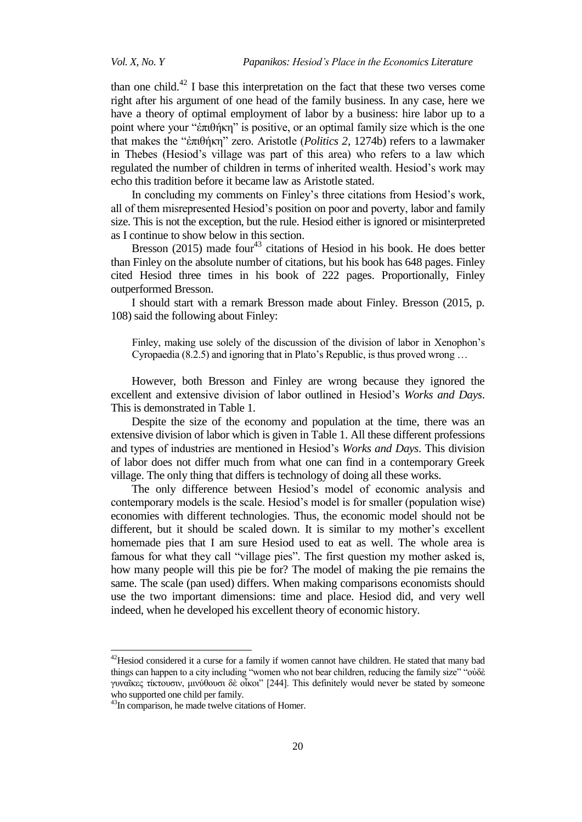than one child.<sup>42</sup> I base this interpretation on the fact that these two verses come right after his argument of one head of the family business. In any case, here we have a theory of optimal employment of labor by a business: hire labor up to a point where your "επιθήκη" is positive, or an optimal family size which is the one that makes the "επιθήκη" zero. Aristotle (*Politics 2*, 1274b) refers to a lawmaker in Thebes (Hesiod's village was part of this area) who refers to a law which regulated the number of children in terms of inherited wealth. Hesiod's work may echo this tradition before it became law as Aristotle stated.

In concluding my comments on Finley's three citations from Hesiod's work, all of them misrepresented Hesiod's position on poor and poverty, labor and family size. This is not the exception, but the rule. Hesiod either is ignored or misinterpreted as I continue to show below in this section.

Bresson (2015) made four<sup>43</sup> citations of Hesiod in his book. He does better than Finley on the absolute number of citations, but his book has 648 pages. Finley cited Hesiod three times in his book of 222 pages. Proportionally, Finley outperformed Bresson.

I should start with a remark Bresson made about Finley. Bresson (2015, p. 108) said the following about Finley:

Finley, making use solely of the discussion of the division of labor in Xenophon's Cyropaedia (8.2.5) and ignoring that in Plato's Republic, is thus proved wrong …

However, both Bresson and Finley are wrong because they ignored the excellent and extensive division of labor outlined in Hesiod's *Works and Days*. This is demonstrated in Table 1.

Despite the size of the economy and population at the time, there was an extensive division of labor which is given in Table 1. All these different professions and types of industries are mentioned in Hesiod's *Works and Days*. This division of labor does not differ much from what one can find in a contemporary Greek village. The only thing that differs is technology of doing all these works.

The only difference between Hesiod's model of economic analysis and contemporary models is the scale. Hesiod's model is for smaller (population wise) economies with different technologies. Thus, the economic model should not be different, but it should be scaled down. It is similar to my mother's excellent homemade pies that I am sure Hesiod used to eat as well. The whole area is famous for what they call "village pies". The first question my mother asked is, how many people will this pie be for? The model of making the pie remains the same. The scale (pan used) differs. When making comparisons economists should use the two important dimensions: time and place. Hesiod did, and very well indeed, when he developed his excellent theory of economic history.

l

 $^{42}$ Hesiod considered it a curse for a family if women cannot have children. He stated that many bad things can happen to a city including "women who not bear children, reducing the family size" "ούδὲ γυναΐκες τίκτουσιν, μινύθουσι δὲ οἶκοι" [244]. This definitely would never be stated by someone who supported one child per family.

<sup>&</sup>lt;sup>43</sup>In comparison, he made twelve citations of Homer.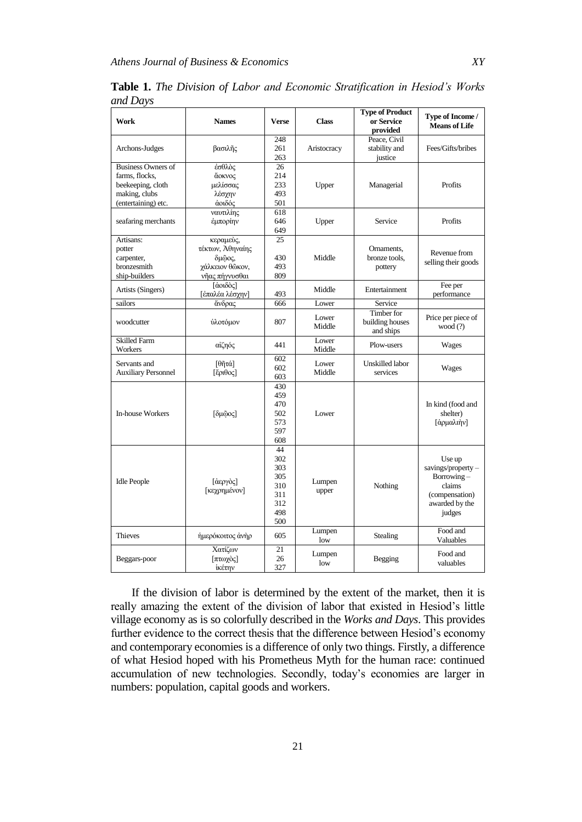| Work                                                                                                     | <b>Names</b>                                                                 | <b>Verse</b>                                               | <b>Class</b>    | <b>Type of Product</b><br>or Service<br>provided | Type of Income /<br><b>Means of Life</b>                                                                |
|----------------------------------------------------------------------------------------------------------|------------------------------------------------------------------------------|------------------------------------------------------------|-----------------|--------------------------------------------------|---------------------------------------------------------------------------------------------------------|
| Archons-Judges                                                                                           | βασιλῆς                                                                      | 248<br>261<br>263                                          | Aristocracy     | Peace, Civil<br>stability and<br>justice         | Fees/Gifts/bribes                                                                                       |
| <b>Business Owners of</b><br>farms, flocks.<br>beekeeping, cloth<br>making, clubs<br>(entertaining) etc. | έσθλὸς<br>άοκνος<br>μελίσσας<br>λέσχην<br>άοιδός                             | 26<br>214<br>233<br>493<br>501                             | Upper           | Managerial                                       | Profits                                                                                                 |
| seafaring merchants                                                                                      | ναυτιλίης<br>έμπορίην                                                        | 618<br>646<br>649                                          | Upper           | Service                                          | Profits                                                                                                 |
| Artisans:<br>potter<br>carpenter,<br>bronzesmith<br>ship-builders                                        | κεραμεύς,<br>τέκτων, Αθηναίης<br>δμώος,<br>χάλκειον θῶκον,<br>νῆας πήγνυσθαι | 25<br>430<br>493<br>809                                    | Middle          | Ornaments,<br>bronze tools,<br>pottery           | Revenue from<br>selling their goods                                                                     |
| Artists (Singers)                                                                                        | [άοιδὸς]<br>[έπαλέα λέσχην]                                                  | 493                                                        | Middle          | Entertainment                                    | Fee per<br>performance                                                                                  |
| sailors                                                                                                  | άνδρας                                                                       | 666                                                        | Lower           | Service                                          |                                                                                                         |
| woodcutter                                                                                               | υλοτόμον                                                                     | 807                                                        | Lower<br>Middle | Timber for<br>building houses<br>and ships       | Price per piece of<br>wood $(?)$                                                                        |
| <b>Skilled Farm</b><br>Workers                                                                           | αἰζηός                                                                       | 441                                                        | Lower<br>Middle | Plow-users                                       | <b>Wages</b>                                                                                            |
| Servants and<br><b>Auxiliary Personnel</b>                                                               | [θñτά]<br>[έριθος]                                                           | 602<br>602<br>603                                          | Lower<br>Middle | Unskilled labor<br>services                      | Wages                                                                                                   |
| <b>In-house Workers</b>                                                                                  | [δμφος]                                                                      | 430<br>459<br>470<br>502<br>573<br>597<br>608              | Lower           |                                                  | In kind (food and<br>shelter)<br>[άρμαλιὴν]                                                             |
| <b>Idle People</b>                                                                                       | [άεργὸς]<br>[κεχρημένον]                                                     | 44<br>302<br>303<br>305<br>310<br>311<br>312<br>498<br>500 | Lumpen<br>upper | Nothing                                          | Use up<br>savings/property $-$<br>$Borrowing -$<br>claims<br>(compensation)<br>awarded by the<br>judges |
| <b>Thieves</b>                                                                                           | ήμερόκοιτος άνὴρ                                                             | 605                                                        | Lumpen<br>low   | Stealing                                         | Food and<br>Valuables                                                                                   |
| Beggars-poor                                                                                             | Χατίζων<br>[πτωχὸς]<br>ἱκέτην                                                | 21<br>26<br>327                                            | Lumpen<br>low   | Begging                                          | Food and<br>valuables                                                                                   |

**Table 1.** *The Division of Labor and Economic Stratification in Hesiod"s Works and Days*

If the division of labor is determined by the extent of the market, then it is really amazing the extent of the division of labor that existed in Hesiod's little village economy as is so colorfully described in the *Works and Days*. This provides further evidence to the correct thesis that the difference between Hesiod's economy and contemporary economies is a difference of only two things. Firstly, a difference of what Hesiod hoped with his Prometheus Myth for the human race: continued accumulation of new technologies. Secondly, today's economies are larger in numbers: population, capital goods and workers.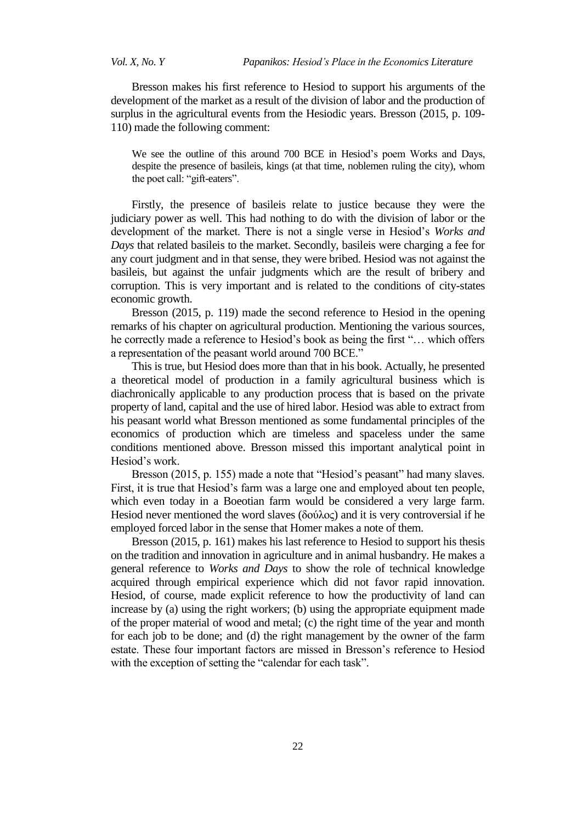Bresson makes his first reference to Hesiod to support his arguments of the development of the market as a result of the division of labor and the production of surplus in the agricultural events from the Hesiodic years. Bresson (2015, p. 109- 110) made the following comment:

We see the outline of this around 700 BCE in Hesiod's poem Works and Days, despite the presence of basileis, kings (at that time, noblemen ruling the city), whom the poet call: "gift-eaters".

Firstly, the presence of basileis relate to justice because they were the judiciary power as well. This had nothing to do with the division of labor or the development of the market. There is not a single verse in Hesiod's *Works and Days* that related basileis to the market. Secondly, basileis were charging a fee for any court judgment and in that sense, they were bribed. Hesiod was not against the basileis, but against the unfair judgments which are the result of bribery and corruption. This is very important and is related to the conditions of city-states economic growth.

Bresson (2015, p. 119) made the second reference to Hesiod in the opening remarks of his chapter on agricultural production. Mentioning the various sources, he correctly made a reference to Hesiod's book as being the first "... which offers a representation of the peasant world around 700 BCE."

This is true, but Hesiod does more than that in his book. Actually, he presented a theoretical model of production in a family agricultural business which is diachronically applicable to any production process that is based on the private property of land, capital and the use of hired labor. Hesiod was able to extract from his peasant world what Bresson mentioned as some fundamental principles of the economics of production which are timeless and spaceless under the same conditions mentioned above. Bresson missed this important analytical point in Hesiod's work.

Bresson (2015, p. 155) made a note that "Hesiod's peasant" had many slaves. First, it is true that Hesiod's farm was a large one and employed about ten people, which even today in a Boeotian farm would be considered a very large farm. Hesiod never mentioned the word slaves (δούλος) and it is very controversial if he employed forced labor in the sense that Homer makes a note of them.

Bresson (2015, p. 161) makes his last reference to Hesiod to support his thesis on the tradition and innovation in agriculture and in animal husbandry. He makes a general reference to *Works and Days* to show the role of technical knowledge acquired through empirical experience which did not favor rapid innovation. Hesiod, of course, made explicit reference to how the productivity of land can increase by (a) using the right workers; (b) using the appropriate equipment made of the proper material of wood and metal; (c) the right time of the year and month for each job to be done; and (d) the right management by the owner of the farm estate. These four important factors are missed in Bresson's reference to Hesiod with the exception of setting the "calendar for each task".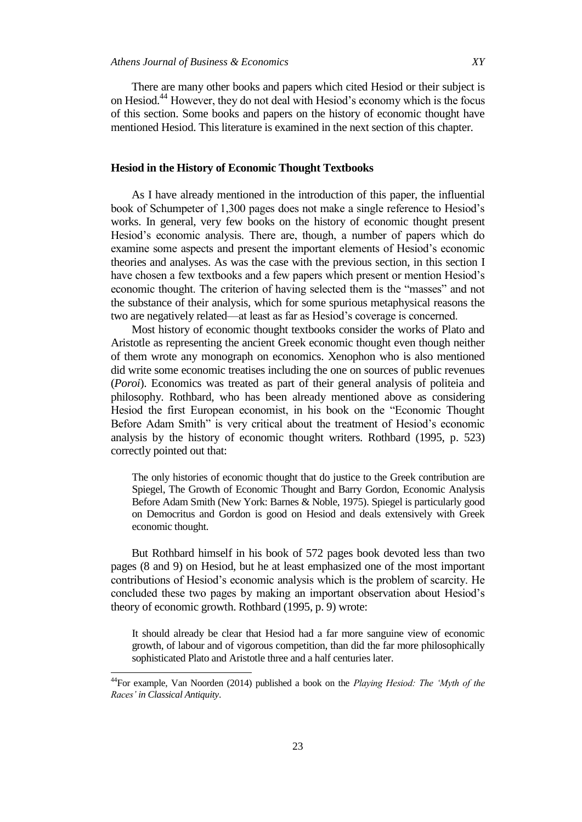There are many other books and papers which cited Hesiod or their subject is on Hesiod.<sup>44</sup> However, they do not deal with Hesiod's economy which is the focus of this section. Some books and papers on the history of economic thought have mentioned Hesiod. This literature is examined in the next section of this chapter.

# **Hesiod in the History of Economic Thought Textbooks**

As I have already mentioned in the introduction of this paper, the influential book of Schumpeter of 1,300 pages does not make a single reference to Hesiod's works. In general, very few books on the history of economic thought present Hesiod's economic analysis. There are, though, a number of papers which do examine some aspects and present the important elements of Hesiod's economic theories and analyses. As was the case with the previous section, in this section I have chosen a few textbooks and a few papers which present or mention Hesiod's economic thought. The criterion of having selected them is the "masses" and not the substance of their analysis, which for some spurious metaphysical reasons the two are negatively related—at least as far as Hesiod's coverage is concerned.

Most history of economic thought textbooks consider the works of Plato and Aristotle as representing the ancient Greek economic thought even though neither of them wrote any monograph on economics. Xenophon who is also mentioned did write some economic treatises including the one on sources of public revenues (*Poroi*). Economics was treated as part of their general analysis of politeia and philosophy. Rothbard, who has been already mentioned above as considering Hesiod the first European economist, in his book on the "Economic Thought Before Adam Smith" is very critical about the treatment of Hesiod's economic analysis by the history of economic thought writers. Rothbard (1995, p. 523) correctly pointed out that:

The only histories of economic thought that do justice to the Greek contribution are Spiegel, The Growth of Economic Thought and Barry Gordon, Economic Analysis Before Adam Smith (New York: Barnes & Noble, 1975). Spiegel is particularly good on Democritus and Gordon is good on Hesiod and deals extensively with Greek economic thought.

But Rothbard himself in his book of 572 pages book devoted less than two pages (8 and 9) on Hesiod, but he at least emphasized one of the most important contributions of Hesiod's economic analysis which is the problem of scarcity. He concluded these two pages by making an important observation about Hesiod's theory of economic growth. Rothbard (1995, p. 9) wrote:

It should already be clear that Hesiod had a far more sanguine view of economic growth, of labour and of vigorous competition, than did the far more philosophically sophisticated Plato and Aristotle three and a half centuries later.

 $\overline{a}$ 

<sup>44</sup>For example, Van Noorden (2014) published a book on the *Playing Hesiod: The "Myth of the Races" in Classical Antiquity*.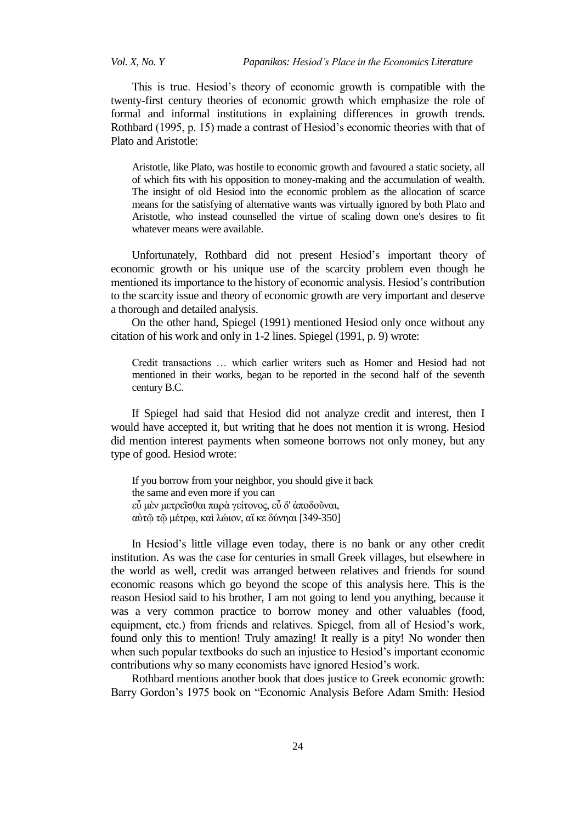*Vol. X, No. Y Papanikos: Hesiod"s Place in the Economics Literature*

This is true. Hesiod's theory of economic growth is compatible with the twenty-first century theories of economic growth which emphasize the role of formal and informal institutions in explaining differences in growth trends. Rothbard (1995, p. 15) made a contrast of Hesiod's economic theories with that of Plato and Aristotle:

Aristotle, like Plato, was hostile to economic growth and favoured a static society, all of which fits with his opposition to money-making and the accumulation of wealth. The insight of old Hesiod into the economic problem as the allocation of scarce means for the satisfying of alternative wants was virtually ignored by both Plato and Aristotle, who instead counselled the virtue of scaling down one's desires to fit whatever means were available.

Unfortunately, Rothbard did not present Hesiod's important theory of economic growth or his unique use of the scarcity problem even though he mentioned its importance to the history of economic analysis. Hesiod's contribution to the scarcity issue and theory of economic growth are very important and deserve a thorough and detailed analysis.

On the other hand, Spiegel (1991) mentioned Hesiod only once without any citation of his work and only in 1-2 lines. Spiegel (1991, p. 9) wrote:

Credit transactions … which earlier writers such as Homer and Hesiod had not mentioned in their works, began to be reported in the second half of the seventh century B.C.

If Spiegel had said that Hesiod did not analyze credit and interest, then I would have accepted it, but writing that he does not mention it is wrong. Hesiod did mention interest payments when someone borrows not only money, but any type of good. Hesiod wrote:

If you borrow from your neighbor, you should give it back the same and even more if you can εὖ μεν μετρεῖσθαι παρὰ γείτονος, εὖ δ' ἀποδοῦναι, αύτῷ τῷ μέτρῳ, καὶ λώιον, αἴ κε δύνηαι [349-350]

In Hesiod's little village even today, there is no bank or any other credit institution. As was the case for centuries in small Greek villages, but elsewhere in the world as well, credit was arranged between relatives and friends for sound economic reasons which go beyond the scope of this analysis here. This is the reason Hesiod said to his brother, I am not going to lend you anything, because it was a very common practice to borrow money and other valuables (food, equipment, etc.) from friends and relatives. Spiegel, from all of Hesiod's work, found only this to mention! Truly amazing! It really is a pity! No wonder then when such popular textbooks do such an injustice to Hesiod's important economic contributions why so many economists have ignored Hesiod's work.

Rothbard mentions another book that does justice to Greek economic growth: Barry Gordon's 1975 book on "Economic Analysis Before Adam Smith: Hesiod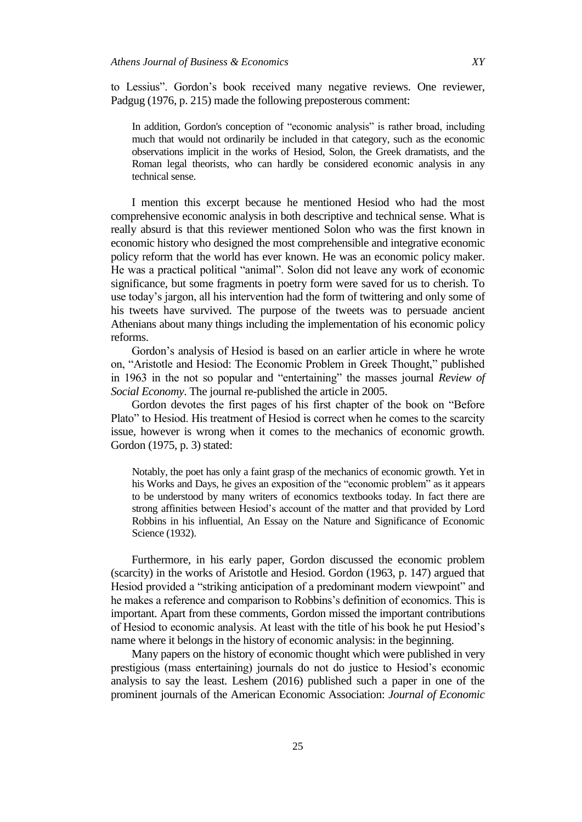to Lessius‖. Gordon's book received many negative reviews. One reviewer, Padgug (1976, p. 215) made the following preposterous comment:

In addition, Gordon's conception of "economic analysis" is rather broad, including much that would not ordinarily be included in that category, such as the economic observations implicit in the works of Hesiod, Solon, the Greek dramatists, and the Roman legal theorists, who can hardly be considered economic analysis in any technical sense.

I mention this excerpt because he mentioned Hesiod who had the most comprehensive economic analysis in both descriptive and technical sense. What is really absurd is that this reviewer mentioned Solon who was the first known in economic history who designed the most comprehensible and integrative economic policy reform that the world has ever known. He was an economic policy maker. He was a practical political "animal". Solon did not leave any work of economic significance, but some fragments in poetry form were saved for us to cherish. To use today's jargon, all his intervention had the form of twittering and only some of his tweets have survived. The purpose of the tweets was to persuade ancient Athenians about many things including the implementation of his economic policy reforms.

Gordon's analysis of Hesiod is based on an earlier article in where he wrote on, "Aristotle and Hesiod: The Economic Problem in Greek Thought," published in 1963 in the not so popular and "entertaining" the masses journal *Review of Social Economy*. The journal re-published the article in 2005.

Gordon devotes the first pages of his first chapter of the book on "Before" Plato" to Hesiod. His treatment of Hesiod is correct when he comes to the scarcity issue, however is wrong when it comes to the mechanics of economic growth. Gordon (1975, p. 3) stated:

Notably, the poet has only a faint grasp of the mechanics of economic growth. Yet in his Works and Days, he gives an exposition of the "economic problem" as it appears to be understood by many writers of economics textbooks today. In fact there are strong affinities between Hesiod's account of the matter and that provided by Lord Robbins in his influential, An Essay on the Nature and Significance of Economic Science (1932).

Furthermore, in his early paper, Gordon discussed the economic problem (scarcity) in the works of Aristotle and Hesiod. Gordon (1963, p. 147) argued that Hesiod provided a "striking anticipation of a predominant modern viewpoint" and he makes a reference and comparison to Robbins's definition of economics. This is important. Apart from these comments, Gordon missed the important contributions of Hesiod to economic analysis. At least with the title of his book he put Hesiod's name where it belongs in the history of economic analysis: in the beginning.

Many papers on the history of economic thought which were published in very prestigious (mass entertaining) journals do not do justice to Hesiod's economic analysis to say the least. Leshem (2016) published such a paper in one of the prominent journals of the American Economic Association: *Journal of Economic*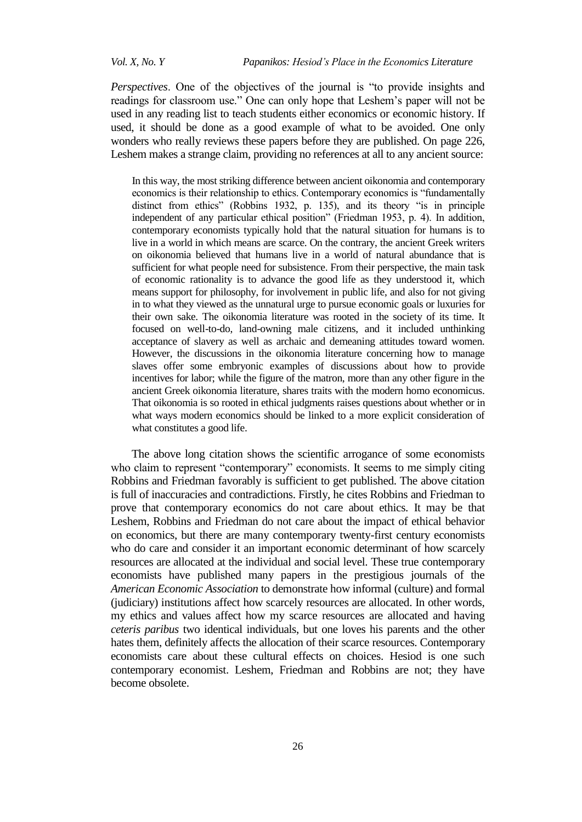*Perspectives*. One of the objectives of the journal is "to provide insights and readings for classroom use." One can only hope that Leshem's paper will not be used in any reading list to teach students either economics or economic history. If used, it should be done as a good example of what to be avoided. One only wonders who really reviews these papers before they are published. On page 226, Leshem makes a strange claim, providing no references at all to any ancient source:

In this way, the most striking difference between ancient oikonomia and contemporary economics is their relationship to ethics. Contemporary economics is "fundamentally distinct from ethics" (Robbins 1932, p. 135), and its theory "is in principle independent of any particular ethical position" (Friedman 1953, p. 4). In addition, contemporary economists typically hold that the natural situation for humans is to live in a world in which means are scarce. On the contrary, the ancient Greek writers on oikonomia believed that humans live in a world of natural abundance that is sufficient for what people need for subsistence. From their perspective, the main task of economic rationality is to advance the good life as they understood it, which means support for philosophy, for involvement in public life, and also for not giving in to what they viewed as the unnatural urge to pursue economic goals or luxuries for their own sake. The oikonomia literature was rooted in the society of its time. It focused on well-to-do, land-owning male citizens, and it included unthinking acceptance of slavery as well as archaic and demeaning attitudes toward women. However, the discussions in the oikonomia literature concerning how to manage slaves offer some embryonic examples of discussions about how to provide incentives for labor; while the figure of the matron, more than any other figure in the ancient Greek oikonomia literature, shares traits with the modern homo economicus. That oikonomia is so rooted in ethical judgments raises questions about whether or in what ways modern economics should be linked to a more explicit consideration of what constitutes a good life.

The above long citation shows the scientific arrogance of some economists who claim to represent "contemporary" economists. It seems to me simply citing Robbins and Friedman favorably is sufficient to get published. The above citation is full of inaccuracies and contradictions. Firstly, he cites Robbins and Friedman to prove that contemporary economics do not care about ethics. It may be that Leshem, Robbins and Friedman do not care about the impact of ethical behavior on economics, but there are many contemporary twenty-first century economists who do care and consider it an important economic determinant of how scarcely resources are allocated at the individual and social level. These true contemporary economists have published many papers in the prestigious journals of the *American Economic Association* to demonstrate how informal (culture) and formal (judiciary) institutions affect how scarcely resources are allocated. In other words, my ethics and values affect how my scarce resources are allocated and having *ceteris paribus* two identical individuals, but one loves his parents and the other hates them, definitely affects the allocation of their scarce resources. Contemporary economists care about these cultural effects on choices. Hesiod is one such contemporary economist. Leshem, Friedman and Robbins are not; they have become obsolete.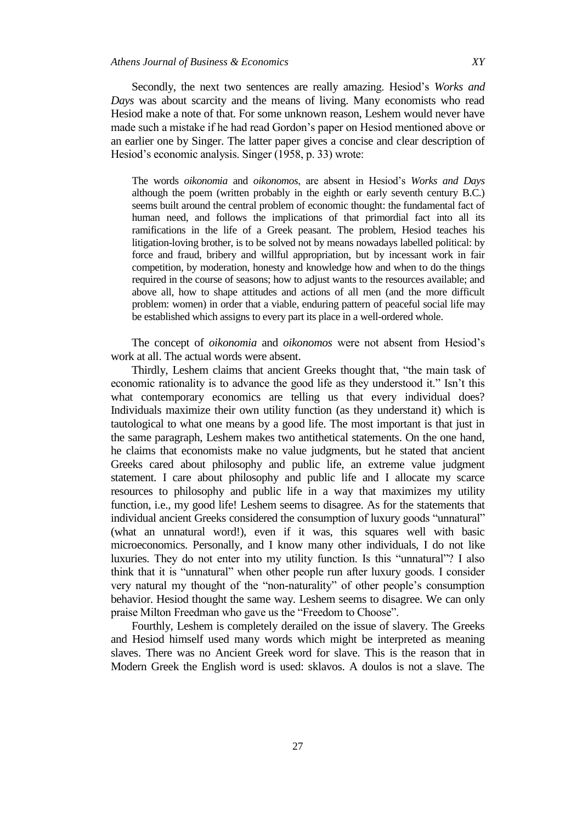Secondly, the next two sentences are really amazing. Hesiod's *Works and Days* was about scarcity and the means of living. Many economists who read Hesiod make a note of that. For some unknown reason, Leshem would never have made such a mistake if he had read Gordon's paper on Hesiod mentioned above or an earlier one by Singer. The latter paper gives a concise and clear description of Hesiod's economic analysis. Singer (1958, p. 33) wrote:

The words *oikonomia* and *oikonomos*, are absent in Hesiod's *Works and Days* although the poem (written probably in the eighth or early seventh century B.C.) seems built around the central problem of economic thought: the fundamental fact of human need, and follows the implications of that primordial fact into all its ramifications in the life of a Greek peasant. The problem, Hesiod teaches his litigation-loving brother, is to be solved not by means nowadays labelled political: by force and fraud, bribery and willful appropriation, but by incessant work in fair competition, by moderation, honesty and knowledge how and when to do the things required in the course of seasons; how to adjust wants to the resources available; and above all, how to shape attitudes and actions of all men (and the more difficult problem: women) in order that a viable, enduring pattern of peaceful social life may be established which assigns to every part its place in a well-ordered whole.

The concept of *oikonomia* and *oikonomos* were not absent from Hesiod's work at all. The actual words were absent.

Thirdly, Leshem claims that ancient Greeks thought that, "the main task of economic rationality is to advance the good life as they understood it." Isn't this what contemporary economics are telling us that every individual does? Individuals maximize their own utility function (as they understand it) which is tautological to what one means by a good life. The most important is that just in the same paragraph, Leshem makes two antithetical statements. On the one hand, he claims that economists make no value judgments, but he stated that ancient Greeks cared about philosophy and public life, an extreme value judgment statement. I care about philosophy and public life and I allocate my scarce resources to philosophy and public life in a way that maximizes my utility function, i.e., my good life! Leshem seems to disagree. As for the statements that individual ancient Greeks considered the consumption of luxury goods "unnatural" (what an unnatural word!), even if it was, this squares well with basic microeconomics. Personally, and I know many other individuals, I do not like luxuries. They do not enter into my utility function. Is this "unnatural"? I also think that it is "unnatural" when other people run after luxury goods. I consider very natural my thought of the "non-naturality" of other people's consumption behavior. Hesiod thought the same way. Leshem seems to disagree. We can only praise Milton Freedman who gave us the "Freedom to Choose".

Fourthly, Leshem is completely derailed on the issue of slavery. The Greeks and Hesiod himself used many words which might be interpreted as meaning slaves. There was no Ancient Greek word for slave. This is the reason that in Modern Greek the English word is used: sklavos. A doulos is not a slave. The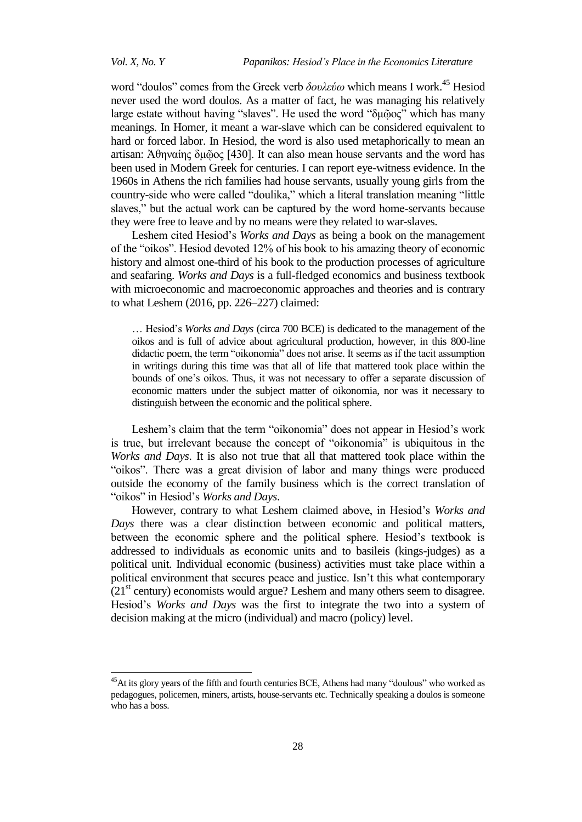$\overline{a}$ 

word "doulos" comes from the Greek verb *δουλεύω* which means I work.<sup>45</sup> Hesiod never used the word doulos. As a matter of fact, he was managing his relatively large estate without having "slaves". He used the word "δμῶος" which has many meanings. In Homer, it meant a war-slave which can be considered equivalent to hard or forced labor. In Hesiod, the word is also used metaphorically to mean an artisan: Άθηναίης δμῶος [430]. It can also mean house servants and the word has been used in Modern Greek for centuries. I can report eye-witness evidence. In the 1960s in Athens the rich families had house servants, usually young girls from the country-side who were called "doulika," which a literal translation meaning "little slaves," but the actual work can be captured by the word home-servants because they were free to leave and by no means were they related to war-slaves.

Leshem cited Hesiod's *Works and Days* as being a book on the management of the "oikos". Hesiod devoted 12% of his book to his amazing theory of economic history and almost one-third of his book to the production processes of agriculture and seafaring. *Works and Days* is a full-fledged economics and business textbook with microeconomic and macroeconomic approaches and theories and is contrary to what Leshem (2016, pp. 226–227) claimed:

… Hesiod's *Works and Days* (circa 700 BCE) is dedicated to the management of the oikos and is full of advice about agricultural production, however, in this 800-line didactic poem, the term "oikonomia" does not arise. It seems as if the tacit assumption in writings during this time was that all of life that mattered took place within the bounds of one's oikos. Thus, it was not necessary to offer a separate discussion of economic matters under the subject matter of oikonomia, nor was it necessary to distinguish between the economic and the political sphere.

Leshem's claim that the term "oikonomia" does not appear in Hesiod's work is true, but irrelevant because the concept of "oikonomia" is ubiquitous in the *Works and Days*. It is also not true that all that mattered took place within the "oikos". There was a great division of labor and many things were produced outside the economy of the family business which is the correct translation of "oikos" in Hesiod's *Works and Days.* 

However, contrary to what Leshem claimed above, in Hesiod's *Works and Days* there was a clear distinction between economic and political matters, between the economic sphere and the political sphere. Hesiod's textbook is addressed to individuals as economic units and to basileis (kings-judges) as a political unit. Individual economic (business) activities must take place within a political environment that secures peace and justice. Isn't this what contemporary  $(21<sup>st</sup>$  century) economists would argue? Leshem and many others seem to disagree. Hesiod's *Works and Days* was the first to integrate the two into a system of decision making at the micro (individual) and macro (policy) level.

 $45$ At its glory years of the fifth and fourth centuries BCE, Athens had many "doulous" who worked as pedagogues, policemen, miners, artists, house-servants etc. Technically speaking a doulos is someone who has a boss.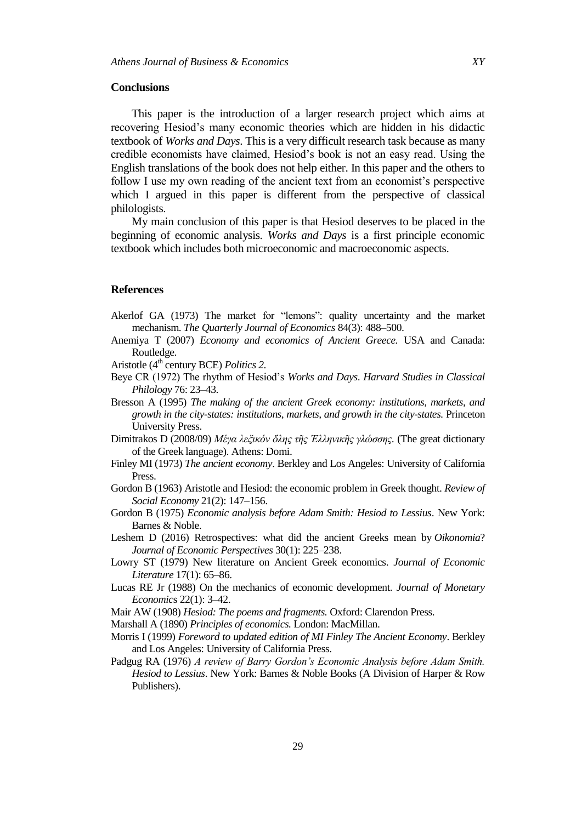#### **Conclusions**

This paper is the introduction of a larger research project which aims at recovering Hesiod's many economic theories which are hidden in his didactic textbook of *Works and Days*. This is a very difficult research task because as many credible economists have claimed, Hesiod's book is not an easy read. Using the English translations of the book does not help either. In this paper and the others to follow I use my own reading of the ancient text from an economist's perspective which I argued in this paper is different from the perspective of classical philologists.

My main conclusion of this paper is that Hesiod deserves to be placed in the beginning of economic analysis. *Works and Days* is a first principle economic textbook which includes both microeconomic and macroeconomic aspects.

#### **References**

- Akerlof GA (1973) The market for "lemons": quality uncertainty and the market mechanism. *The Quarterly Journal of Economics* 84(3): 488–500.
- Anemiya T (2007) *Economy and economics of Ancient Greece.* USA and Canada: Routledge.
- Aristotle (4<sup>th</sup> century BCE) *Politics* 2.
- Beye CR (1972) The rhythm of Hesiod's *Works and Days*. *Harvard Studies in Classical Philology* 76: 23–43.
- Bresson A (1995) *The making of the ancient Greek economy: institutions, markets, and growth in the city-states: institutions, markets, and growth in the city-states.* Princeton University Press.
- Dimitrakos D (2008/09) *Μέγα λεξικόν ὅλης ηῆς Ἑλληνικῆς γλώζζης.* (The great dictionary of the Greek language). Athens: Domi.
- Finley MI (1973) *The ancient economy*. Berkley and Los Angeles: University of California Press.
- Gordon B (1963) Aristotle and Hesiod: the economic problem in Greek thought. *Review of Social Economy* 21(2): 147–156.
- Gordon B (1975) *Economic analysis before Adam Smith: Hesiod to Lessius*. New York: Barnes & Noble.
- Leshem D (2016) Retrospectives: what did the ancient Greeks mean by *Oikonomia*? *Journal of Economic Perspectives* 30(1): 225–238.
- Lowry ST (1979) New literature on Ancient Greek economics. *Journal of Economic Literature* 17(1): 65–86.
- Lucas RE Jr (1988) On the mechanics of economic development. *Journal of Monetary Economic*s 22(1): 3–42.
- Mair AW (1908) *Hesiod: The poems and fragments.* Oxford: Clarendon Press.
- Marshall A (1890) *Principles of economics.* London: MacMillan.
- Morris I (1999) *Foreword to updated edition of MI Finley The Ancient Economy*. Berkley and Los Angeles: University of California Press.
- Padgug RA (1976) *A review of Barry Gordon"s Economic Analysis before Adam Smith. Hesiod to Lessius*. New York: Barnes & Noble Books (A Division of Harper & Row Publishers).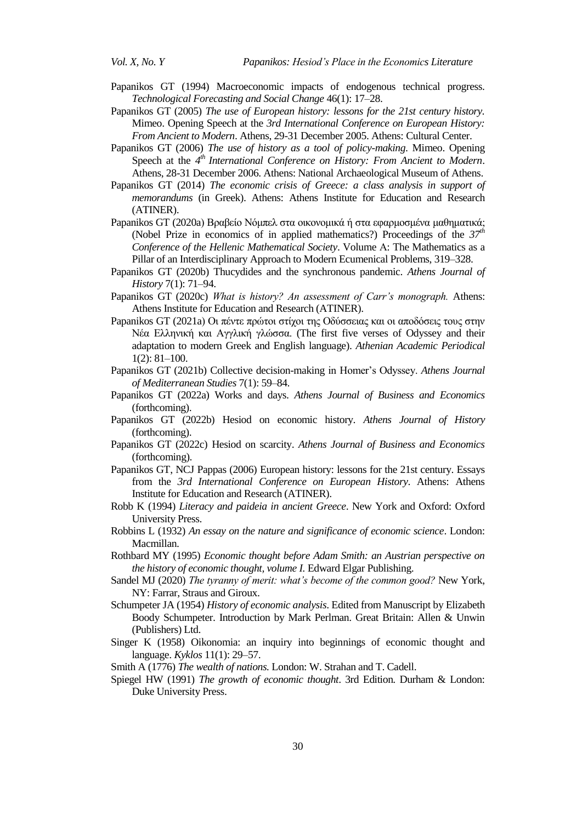- Papanikos GT (1994) Macroeconomic impacts of endogenous technical progress. *Technological Forecasting and Social Change* 46(1): 17–28.
- Papanikos GT (2005) *The use of European history: lessons for the 21st century history.*  Mimeo. Opening Speech at the *3rd International Conference on European History: From Ancient to Modern*. Athens, 29-31 December 2005. Athens: Cultural Center.
- Papanikos GT (2006) *The use of history as a tool of policy-making*. Mimeo. Opening Speech at the 4<sup>th</sup> International Conference on History: From Ancient to Modern. Athens, 28-31 December 2006. Athens: National Archaeological Museum of Athens.
- Papanikos GT (2014) *The economic crisis of Greece: a class analysis in support of memorandums* (in Greek). Athens: Athens Institute for Education and Research (ATINER).
- Papanikos GT (2020a) Βραβείο Νόμπελ στα οικονομικά ή στα εφαρμοσμένα μαθηματικά; (Nobel Prize in economics of in applied mathematics?) Proceedings of the *37th Conference of the Hellenic Mathematical Society*. Volume Α: The Mathematics as a Pillar of an Interdisciplinary Approach to Modern Ecumenical Problems, 319–328.
- Papanikos GT (2020b) Thucydides and the synchronous pandemic. *Athens Journal of History* 7(1): 71–94.
- Papanikos GT (2020c) *What is history? An assessment of Carr"s monograph.* Athens: Athens Institute for Education and Research (ATINER).
- Papanikos GT (2021a) Οι πέντε πρώτοι στίχοι της Οδύσσειας και οι αποδόσεις τους στην Νέα Ελληνική και Αγγλική γλώσσα. (The first five verses of Odyssey and their adaptation to modern Greek and English language). *Athenian Academic Periodical*  1(2): 81–100.
- Papanikos GT (2021b) Collective decision-making in Homer's Odyssey. *Athens Journal of Mediterranean Studies* 7(1): 59–84.
- Papanikos GT (2022a) Works and days. *Athens Journal of Business and Economics* (forthcoming).
- Papanikos GT (2022b) Hesiod on economic history. *Athens Journal of History* (forthcoming).
- Papanikos GT (2022c) Hesiod on scarcity. *Athens Journal of Business and Economics* (forthcoming).
- Papanikos GT, NCJ Pappas (2006) European history: lessons for the 21st century. Essays from the *3rd International Conference on European History*. Athens: Athens Institute for Education and Research (ATINER).
- Robb K (1994) *Literacy and paideia in ancient Greece*. New York and Oxford: Oxford University Press.
- Robbins L (1932) *An essay on the nature and significance of economic science*. London: Macmillan.
- Rothbard MY (1995) *Economic thought before Adam Smith: an Austrian perspective on the history of economic thought, volume I.* Edward Elgar Publishing.
- Sandel MJ (2020) *The tyranny of merit: what"s become of the common good?* New York, NY: Farrar, Straus and Giroux.
- Schumpeter JA (1954) *History of economic analysis*. Edited from Manuscript by Elizabeth Boody Schumpeter. Introduction by Mark Perlman. Great Britain: Allen & Unwin (Publishers) Ltd.
- Singer K (1958) Oikonomia: an inquiry into beginnings of economic thought and language. *Kyklos* 11(1): 29–57.

Smith A (1776) *The wealth of nations.* London: W. Strahan and T. Cadell.

Spiegel HW (1991) *The growth of economic thought*. 3rd Edition. Durham & London: Duke University Press.